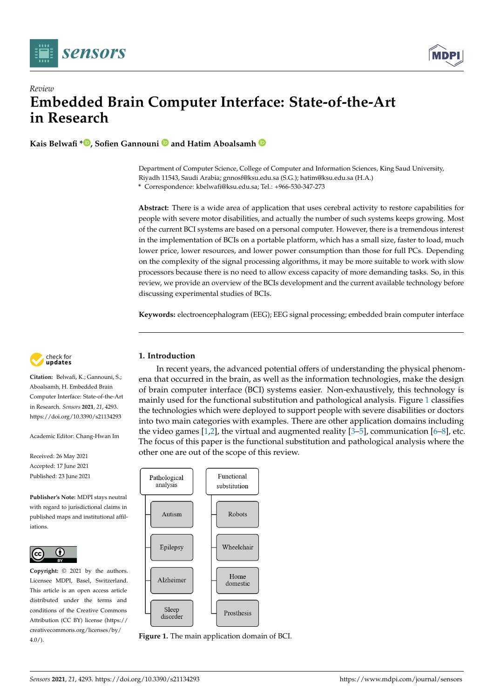



# *Review* **Embedded Brain Computer Interface: State-of-the-Art in Research**

**Kais Belwafi [\\*](https://orcid.org/0000-0003-1455-439X) , Sofien Gannouni and Hatim Aboalsamh**

Department of Computer Science, College of Computer and Information Sciences, King Saud University, Riyadh 11543, Saudi Arabia; gnnosf@ksu.edu.sa (S.G.); hatim@ksu.edu.sa (H.A.) **\*** Correspondence: kbelwafi@ksu.edu.sa; Tel.: +966-530-347-273

**Abstract:** There is a wide area of application that uses cerebral activity to restore capabilities for people with severe motor disabilities, and actually the number of such systems keeps growing. Most of the current BCI systems are based on a personal computer. However, there is a tremendous interest in the implementation of BCIs on a portable platform, which has a small size, faster to load, much lower price, lower resources, and lower power consumption than those for full PCs. Depending on the complexity of the signal processing algorithms, it may be more suitable to work with slow processors because there is no need to allow excess capacity of more demanding tasks. So, in this review, we provide an overview of the BCIs development and the current available technology before discussing experimental studies of BCIs.

**Keywords:** electroencephalogram (EEG); EEG signal processing; embedded brain computer interface



**Citation:** Belwafi, K.; Gannouni, S.; Aboalsamh, H. Embedded Brain Computer Interface: State-of-the-Art in Research. *Sensors* **2021**, *21*, 4293. <https://doi.org/10.3390/s21134293>

Academic Editor: Chang-Hwan Im

Received: 26 May 2021 Accepted: 17 June 2021 Published: 23 June 2021

**Publisher's Note:** MDPI stays neutral with regard to jurisdictional claims in published maps and institutional affiliations.



**Copyright:** © 2021 by the authors. Licensee MDPI, Basel, Switzerland. This article is an open access article distributed under the terms and conditions of the Creative Commons Attribution (CC BY) license (https:/[/](https://creativecommons.org/licenses/by/4.0/) [creativecommons.org/licenses/by/](https://creativecommons.org/licenses/by/4.0/) 4.0/).

## **1. Introduction**

In recent years, the advanced potential offers of understanding the physical phenomena that occurred in the brain, as well as the information technologies, make the design of brain computer interface (BCI) systems easier. Non-exhaustively, this technology is mainly used for the functional substitution and pathological analysis. Figure [1](#page-0-0) classifies the technologies which were deployed to support people with severe disabilities or doctors into two main categories with examples. There are other application domains including the video games [\[1,](#page-15-0)[2\]](#page-15-1), the virtual and augmented reality [\[3](#page-15-2)[–5\]](#page-15-3), communication [\[6](#page-15-4)[–8\]](#page-15-5), etc. The focus of this paper is the functional substitution and pathological analysis where the other one are out of the scope of this review.

<span id="page-0-0"></span>

**Figure 1.** The main application domain of BCI.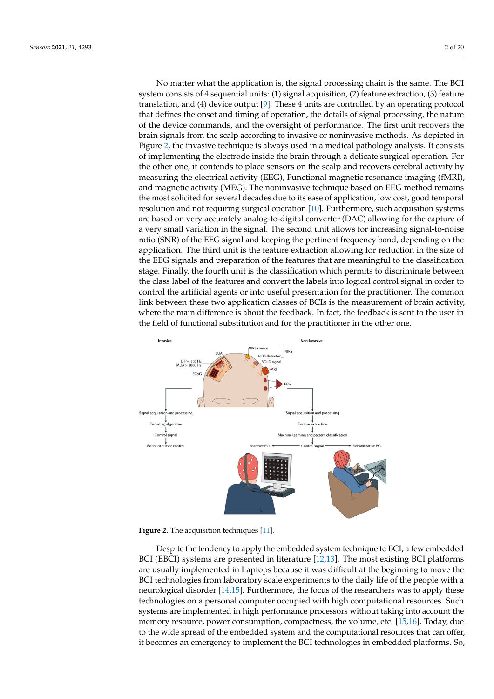No matter what the application is, the signal processing chain is the same. The BCI system consists of 4 sequential units: (1) signal acquisition, (2) feature extraction, (3) feature translation, and (4) device output [\[9\]](#page-15-6). These 4 units are controlled by an operating protocol that defines the onset and timing of operation, the details of signal processing, the nature of the device commands, and the oversight of performance. The first unit recovers the brain signals from the scalp according to invasive or noninvasive methods. As depicted in Figure [2,](#page-1-0) the invasive technique is always used in a medical pathology analysis. It consists of implementing the electrode inside the brain through a delicate surgical operation. For the other one, it contends to place sensors on the scalp and recovers cerebral activity by measuring the electrical activity (EEG), Functional magnetic resonance imaging (fMRI), and magnetic activity (MEG). The noninvasive technique based on EEG method remains the most solicited for several decades due to its ease of application, low cost, good temporal resolution and not requiring surgical operation [\[10\]](#page-15-7). Furthermore, such acquisition systems are based on very accurately analog-to-digital converter (DAC) allowing for the capture of a very small variation in the signal. The second unit allows for increasing signal-to-noise ratio (SNR) of the EEG signal and keeping the pertinent frequency band, depending on the application. The third unit is the feature extraction allowing for reduction in the size of the EEG signals and preparation of the features that are meaningful to the classification stage. Finally, the fourth unit is the classification which permits to discriminate between the class label of the features and convert the labels into logical control signal in order to control the artificial agents or into useful presentation for the practitioner. The common link between these two application classes of BCIs is the measurement of brain activity, where the main difference is about the feedback. In fact, the feedback is sent to the user in the field of functional substitution and for the practitioner in the other one.

<span id="page-1-0"></span>

Figure 2. The acquisition techniques [\[11\]](#page-15-8).

Despite the tendency to apply the embedded system technique to BCI, a few embedded BCI (EBCI) systems are presented in literature [\[12](#page-15-9)[,13\]](#page-16-0). The most existing BCI platforms are usually implemented in Laptops because it was difficult at the beginning to move the BCI technologies from laboratory scale experiments to the daily life of the people with a neurological disorder [\[14](#page-16-1)[,15\]](#page-16-2). Furthermore, the focus of the researchers was to apply these technologies on a personal computer occupied with high computational resources. Such systems are implemented in high performance processors without taking into account the memory resource, power consumption, compactness, the volume, etc. [\[15,](#page-16-2)[16\]](#page-16-3). Today, due to the wide spread of the embedded system and the computational resources that can offer, it becomes an emergency to implement the BCI technologies in embedded platforms. So,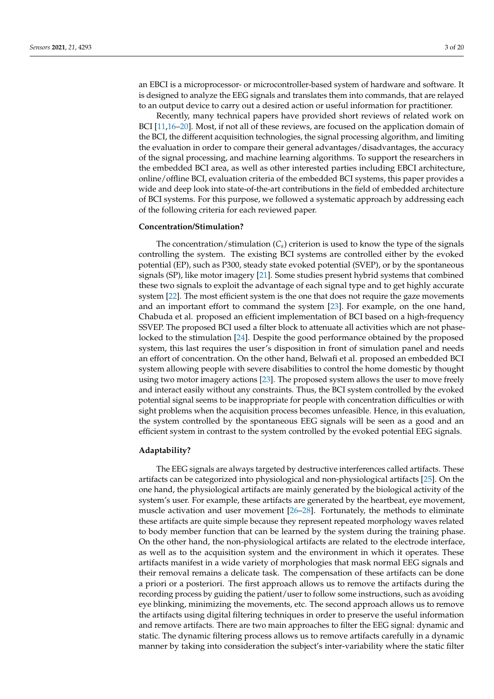an EBCI is a microprocessor- or microcontroller-based system of hardware and software. It is designed to analyze the EEG signals and translates them into commands, that are relayed to an output device to carry out a desired action or useful information for practitioner.

Recently, many technical papers have provided short reviews of related work on BCI [\[11,](#page-15-8)[16](#page-16-3)[–20\]](#page-16-4). Most, if not all of these reviews, are focused on the application domain of the BCI, the different acquisition technologies, the signal processing algorithm, and limiting the evaluation in order to compare their general advantages/disadvantages, the accuracy of the signal processing, and machine learning algorithms. To support the researchers in the embedded BCI area, as well as other interested parties including EBCI architecture, online/offline BCI, evaluation criteria of the embedded BCI systems, this paper provides a wide and deep look into state-of-the-art contributions in the field of embedded architecture of BCI systems. For this purpose, we followed a systematic approach by addressing each of the following criteria for each reviewed paper.

#### **Concentration/Stimulation?**

The concentration/stimulation  $(C_s)$  criterion is used to know the type of the signals controlling the system. The existing BCI systems are controlled either by the evoked potential (EP), such as P300, steady state evoked potential (SVEP), or by the spontaneous signals (SP), like motor imagery [\[21\]](#page-16-5). Some studies present hybrid systems that combined these two signals to exploit the advantage of each signal type and to get highly accurate system [\[22\]](#page-16-6). The most efficient system is the one that does not require the gaze movements and an important effort to command the system [\[23\]](#page-16-7). For example, on the one hand, Chabuda et al. proposed an efficient implementation of BCI based on a high-frequency SSVEP. The proposed BCI used a filter block to attenuate all activities which are not phaselocked to the stimulation [\[24\]](#page-16-8). Despite the good performance obtained by the proposed system, this last requires the user's disposition in front of simulation panel and needs an effort of concentration. On the other hand, Belwafi et al. proposed an embedded BCI system allowing people with severe disabilities to control the home domestic by thought using two motor imagery actions [\[23\]](#page-16-7). The proposed system allows the user to move freely and interact easily without any constraints. Thus, the BCI system controlled by the evoked potential signal seems to be inappropriate for people with concentration difficulties or with sight problems when the acquisition process becomes unfeasible. Hence, in this evaluation, the system controlled by the spontaneous EEG signals will be seen as a good and an efficient system in contrast to the system controlled by the evoked potential EEG signals.

#### **Adaptability?**

The EEG signals are always targeted by destructive interferences called artifacts. These artifacts can be categorized into physiological and non-physiological artifacts [\[25\]](#page-16-9). On the one hand, the physiological artifacts are mainly generated by the biological activity of the system's user. For example, these artifacts are generated by the heartbeat, eye movement, muscle activation and user movement [\[26–](#page-16-10)[28\]](#page-16-11). Fortunately, the methods to eliminate these artifacts are quite simple because they represent repeated morphology waves related to body member function that can be learned by the system during the training phase. On the other hand, the non-physiological artifacts are related to the electrode interface, as well as to the acquisition system and the environment in which it operates. These artifacts manifest in a wide variety of morphologies that mask normal EEG signals and their removal remains a delicate task. The compensation of these artifacts can be done a priori or a posteriori. The first approach allows us to remove the artifacts during the recording process by guiding the patient/user to follow some instructions, such as avoiding eye blinking, minimizing the movements, etc. The second approach allows us to remove the artifacts using digital filtering techniques in order to preserve the useful information and remove artifacts. There are two main approaches to filter the EEG signal: dynamic and static. The dynamic filtering process allows us to remove artifacts carefully in a dynamic manner by taking into consideration the subject's inter-variability where the static filter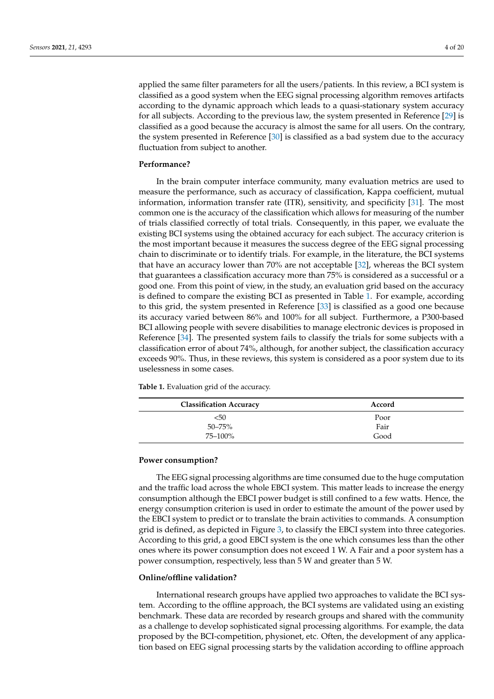applied the same filter parameters for all the users/patients. In this review, a BCI system is classified as a good system when the EEG signal processing algorithm removes artifacts according to the dynamic approach which leads to a quasi-stationary system accuracy for all subjects. According to the previous law, the system presented in Reference [\[29\]](#page-16-12) is classified as a good because the accuracy is almost the same for all users. On the contrary, the system presented in Reference [\[30\]](#page-16-13) is classified as a bad system due to the accuracy fluctuation from subject to another.

## **Performance?**

In the brain computer interface community, many evaluation metrics are used to measure the performance, such as accuracy of classification, Kappa coefficient, mutual information, information transfer rate (ITR), sensitivity, and specificity [\[31\]](#page-16-14). The most common one is the accuracy of the classification which allows for measuring of the number of trials classified correctly of total trials. Consequently, in this paper, we evaluate the existing BCI systems using the obtained accuracy for each subject. The accuracy criterion is the most important because it measures the success degree of the EEG signal processing chain to discriminate or to identify trials. For example, in the literature, the BCI systems that have an accuracy lower than 70% are not acceptable [\[32\]](#page-16-15), whereas the BCI system that guarantees a classification accuracy more than 75% is considered as a successful or a good one. From this point of view, in the study, an evaluation grid based on the accuracy is defined to compare the existing BCI as presented in Table [1.](#page-3-0) For example, according to this grid, the system presented in Reference [\[33\]](#page-16-16) is classified as a good one because its accuracy varied between 86% and 100% for all subject. Furthermore, a P300-based BCI allowing people with severe disabilities to manage electronic devices is proposed in Reference [\[34\]](#page-16-17). The presented system fails to classify the trials for some subjects with a classification error of about 74%, although, for another subject, the classification accuracy exceeds 90%. Thus, in these reviews, this system is considered as a poor system due to its uselessness in some cases.

<span id="page-3-0"></span>**Table 1.** Evaluation grid of the accuracy.

| <b>Classification Accuracy</b> | Accord |  |
|--------------------------------|--------|--|
| <50                            | Poor   |  |
| 50–75%                         | Fair   |  |
| 75–100%                        | Good   |  |

#### **Power consumption?**

The EEG signal processing algorithms are time consumed due to the huge computation and the traffic load across the whole EBCI system. This matter leads to increase the energy consumption although the EBCI power budget is still confined to a few watts. Hence, the energy consumption criterion is used in order to estimate the amount of the power used by the EBCI system to predict or to translate the brain activities to commands. A consumption grid is defined, as depicted in Figure [3,](#page-4-0) to classify the EBCI system into three categories. According to this grid, a good EBCI system is the one which consumes less than the other ones where its power consumption does not exceed 1 W. A Fair and a poor system has a power consumption, respectively, less than 5 W and greater than 5 W.

## **Online/offline validation?**

International research groups have applied two approaches to validate the BCI system. According to the offline approach, the BCI systems are validated using an existing benchmark. These data are recorded by research groups and shared with the community as a challenge to develop sophisticated signal processing algorithms. For example, the data proposed by the BCI-competition, physionet, etc. Often, the development of any application based on EEG signal processing starts by the validation according to offline approach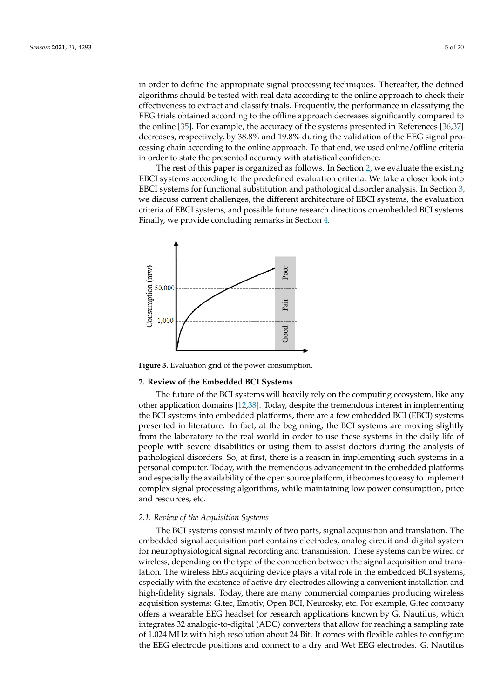in order to define the appropriate signal processing techniques. Thereafter, the defined algorithms should be tested with real data according to the online approach to check their effectiveness to extract and classify trials. Frequently, the performance in classifying the EEG trials obtained according to the offline approach decreases significantly compared to the online [\[35\]](#page-16-18). For example, the accuracy of the systems presented in References [\[36](#page-16-19)[,37\]](#page-16-20) decreases, respectively, by 38.8% and 19.8% during the validation of the EEG signal processing chain according to the online approach. To that end, we used online/offline criteria in order to state the presented accuracy with statistical confidence.

The rest of this paper is organized as follows. In Section [2,](#page-4-1) we evaluate the existing EBCI systems according to the predefined evaluation criteria. We take a closer look into EBCI systems for functional substitution and pathological disorder analysis. In Section [3,](#page-9-0) we discuss current challenges, the different architecture of EBCI systems, the evaluation criteria of EBCI systems, and possible future research directions on embedded BCI systems. Finally, we provide concluding remarks in Section [4.](#page-14-0)

<span id="page-4-0"></span>

**Figure 3.** Evaluation grid of the power consumption.

### <span id="page-4-1"></span>**2. Review of the Embedded BCI Systems**

The future of the BCI systems will heavily rely on the computing ecosystem, like any other application domains [\[12](#page-15-9)[,38\]](#page-16-21). Today, despite the tremendous interest in implementing the BCI systems into embedded platforms, there are a few embedded BCI (EBCI) systems presented in literature. In fact, at the beginning, the BCI systems are moving slightly from the laboratory to the real world in order to use these systems in the daily life of people with severe disabilities or using them to assist doctors during the analysis of pathological disorders. So, at first, there is a reason in implementing such systems in a personal computer. Today, with the tremendous advancement in the embedded platforms and especially the availability of the open source platform, it becomes too easy to implement complex signal processing algorithms, while maintaining low power consumption, price and resources, etc.

## *2.1. Review of the Acquisition Systems*

The BCI systems consist mainly of two parts, signal acquisition and translation. The embedded signal acquisition part contains electrodes, analog circuit and digital system for neurophysiological signal recording and transmission. These systems can be wired or wireless, depending on the type of the connection between the signal acquisition and translation. The wireless EEG acquiring device plays a vital role in the embedded BCI systems, especially with the existence of active dry electrodes allowing a convenient installation and high-fidelity signals. Today, there are many commercial companies producing wireless acquisition systems: G.tec, Emotiv, Open BCI, Neurosky, etc. For example, G.tec company offers a wearable EEG headset for research applications known by G. Nautilus, which integrates 32 analogic-to-digital (ADC) converters that allow for reaching a sampling rate of 1.024 MHz with high resolution about 24 Bit. It comes with flexible cables to configure the EEG electrode positions and connect to a dry and Wet EEG electrodes. G. Nautilus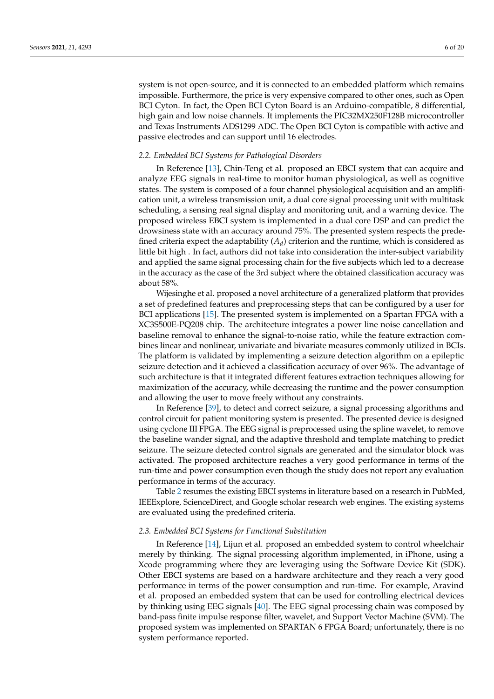system is not open-source, and it is connected to an embedded platform which remains impossible. Furthermore, the price is very expensive compared to other ones, such as Open BCI Cyton. In fact, the Open BCI Cyton Board is an Arduino-compatible, 8 differential, high gain and low noise channels. It implements the PIC32MX250F128B microcontroller and Texas Instruments ADS1299 ADC. The Open BCI Cyton is compatible with active and passive electrodes and can support until 16 electrodes.

## *2.2. Embedded BCI Systems for Pathological Disorders*

In Reference [\[13\]](#page-16-0), Chin-Teng et al. proposed an EBCI system that can acquire and analyze EEG signals in real-time to monitor human physiological, as well as cognitive states. The system is composed of a four channel physiological acquisition and an amplification unit, a wireless transmission unit, a dual core signal processing unit with multitask scheduling, a sensing real signal display and monitoring unit, and a warning device. The proposed wireless EBCI system is implemented in a dual core DSP and can predict the drowsiness state with an accuracy around 75%. The presented system respects the predefined criteria expect the adaptability  $(A_d)$  criterion and the runtime, which is considered as little bit high . In fact, authors did not take into consideration the inter-subject variability and applied the same signal processing chain for the five subjects which led to a decrease in the accuracy as the case of the 3rd subject where the obtained classification accuracy was about 58%.

Wijesinghe et al. proposed a novel architecture of a generalized platform that provides a set of predefined features and preprocessing steps that can be configured by a user for BCI applications [\[15\]](#page-16-2). The presented system is implemented on a Spartan FPGA with a XC3S500E-PQ208 chip. The architecture integrates a power line noise cancellation and baseline removal to enhance the signal-to-noise ratio, while the feature extraction combines linear and nonlinear, univariate and bivariate measures commonly utilized in BCIs. The platform is validated by implementing a seizure detection algorithm on a epileptic seizure detection and it achieved a classification accuracy of over 96%. The advantage of such architecture is that it integrated different features extraction techniques allowing for maximization of the accuracy, while decreasing the runtime and the power consumption and allowing the user to move freely without any constraints.

In Reference [\[39\]](#page-17-0), to detect and correct seizure, a signal processing algorithms and control circuit for patient monitoring system is presented. The presented device is designed using cyclone III FPGA. The EEG signal is preprocessed using the spline wavelet, to remove the baseline wander signal, and the adaptive threshold and template matching to predict seizure. The seizure detected control signals are generated and the simulator block was activated. The proposed architecture reaches a very good performance in terms of the run-time and power consumption even though the study does not report any evaluation performance in terms of the accuracy.

Table [2](#page-6-0) resumes the existing EBCI systems in literature based on a research in PubMed, IEEExplore, ScienceDirect, and Google scholar research web engines. The existing systems are evaluated using the predefined criteria.

## *2.3. Embedded BCI Systems for Functional Substitution*

In Reference [\[14\]](#page-16-1), Lijun et al. proposed an embedded system to control wheelchair merely by thinking. The signal processing algorithm implemented, in iPhone, using a Xcode programming where they are leveraging using the Software Device Kit (SDK). Other EBCI systems are based on a hardware architecture and they reach a very good performance in terms of the power consumption and run-time. For example, Aravind et al. proposed an embedded system that can be used for controlling electrical devices by thinking using EEG signals [\[40\]](#page-17-1). The EEG signal processing chain was composed by band-pass finite impulse response filter, wavelet, and Support Vector Machine (SVM). The proposed system was implemented on SPARTAN 6 FPGA Board; unfortunately, there is no system performance reported.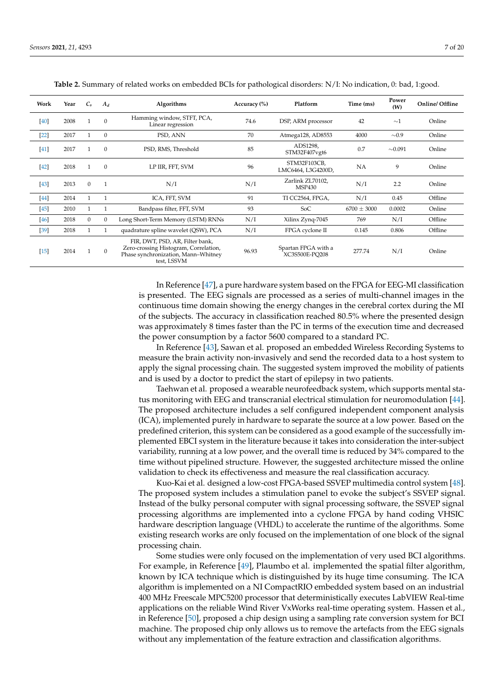<span id="page-6-0"></span>

| Work   | Year | $C_{s}$      | $A_d$          | Algorithms                                                                                                                     | Accuracy $(\%)$ | Platform                              | Time (ms)       | Power<br>(W) | Online/ Offline |
|--------|------|--------------|----------------|--------------------------------------------------------------------------------------------------------------------------------|-----------------|---------------------------------------|-----------------|--------------|-----------------|
| [40]   | 2008 | 1            | $\mathbf{0}$   | Hamming window, STFT, PCA,<br>Linear regression                                                                                | 74.6            | DSP, ARM processor                    | 42              | $\sim$ 1     | Online          |
| $[22]$ | 2017 | 1            | $\mathbf{0}$   | PSD, ANN                                                                                                                       | 70              | Atmega128, AD8553                     | 4000            | $\sim 0.9$   | Online          |
| [41]   | 2017 | 1            | $\overline{0}$ | PSD, RMS, Threshold                                                                                                            | 85              | ADS1298,<br>STM32F407vgt6             | 0.7             | $\sim 0.091$ | Online          |
| $[42]$ | 2018 | $\mathbf{1}$ | $\mathbf{0}$   | LP IIR, FFT, SVM                                                                                                               | 96              | STM32F103CB,<br>LMC6464, L3G4200D,    | <b>NA</b>       | 9            | Online          |
| $[43]$ | 2013 | $\mathbf{0}$ | 1              | N/I                                                                                                                            | N/I             | Zarlink ZL70102,<br><b>MSP430</b>     | N/I             | 2.2          | Online          |
| [44]   | 2014 |              |                | ICA, FFT, SVM                                                                                                                  | 91              | TI CC2564, FPGA,                      | N/I             | 0.45         | Offline         |
| $[45]$ | 2010 | 1            |                | Bandpass filter, FFT, SVM                                                                                                      | 93              | SoC                                   | $6700 \pm 3000$ | 0.0002       | Online          |
| $[46]$ | 2018 | $\mathbf{0}$ | $\mathbf{0}$   | Long Short-Term Memory (LSTM) RNNs                                                                                             | N/I             | Xilinx Zynq-7045                      | 769             | N/I          | Offline         |
| $[39]$ | 2018 |              |                | quadrature spline wavelet (QSW), PCA                                                                                           | N/I             | FPGA cyclone II                       | 0.145           | 0.806        | Offline         |
| $[15]$ | 2014 | $\mathbf{1}$ | $\Omega$       | FIR, DWT, PSD, AR, Filter bank,<br>Zero-crossing Histogram, Correlation,<br>Phase synchronization, Mann-Whitney<br>test, LSSVM | 96.93           | Spartan FPGA with a<br>XC3S500E-PO208 | 277.74          | N/I          | Online          |

**Table 2.** Summary of related works on embedded BCIs for pathological disorders: N/I: No indication, 0: bad, 1:good.

In Reference [\[47\]](#page-17-8), a pure hardware system based on the FPGA for EEG-MI classification is presented. The EEG signals are processed as a series of multi-channel images in the continuous time domain showing the energy changes in the cerebral cortex during the MI of the subjects. The accuracy in classification reached 80.5% where the presented design was approximately 8 times faster than the PC in terms of the execution time and decreased the power consumption by a factor 5600 compared to a standard PC.

In Reference [\[43\]](#page-17-4), Sawan et al. proposed an embedded Wireless Recording Systems to measure the brain activity non-invasively and send the recorded data to a host system to apply the signal processing chain. The suggested system improved the mobility of patients and is used by a doctor to predict the start of epilepsy in two patients.

Taehwan et al. proposed a wearable neurofeedback system, which supports mental status monitoring with EEG and transcranial electrical stimulation for neuromodulation [\[44\]](#page-17-5). The proposed architecture includes a self configured independent component analysis (ICA), implemented purely in hardware to separate the source at a low power. Based on the predefined criterion, this system can be considered as a good example of the successfully implemented EBCI system in the literature because it takes into consideration the inter-subject variability, running at a low power, and the overall time is reduced by 34% compared to the time without pipelined structure. However, the suggested architecture missed the online validation to check its effectiveness and measure the real classification accuracy.

Kuo-Kai et al. designed a low-cost FPGA-based SSVEP multimedia control system [\[48\]](#page-17-9). The proposed system includes a stimulation panel to evoke the subject's SSVEP signal. Instead of the bulky personal computer with signal processing software, the SSVEP signal processing algorithms are implemented into a cyclone FPGA by hand coding VHSIC hardware description language (VHDL) to accelerate the runtime of the algorithms. Some existing research works are only focused on the implementation of one block of the signal processing chain.

Some studies were only focused on the implementation of very used BCI algorithms. For example, in Reference [\[49\]](#page-17-10), Plaumbo et al. implemented the spatial filter algorithm, known by ICA technique which is distinguished by its huge time consuming. The ICA algorithm is implemented on a NI CompactRIO embedded system based on an industrial 400 MHz Freescale MPC5200 processor that deterministically executes LabVIEW Real-time applications on the reliable Wind River VxWorks real-time operating system. Hassen et al., in Reference [\[50\]](#page-17-11), proposed a chip design using a sampling rate conversion system for BCI machine. The proposed chip only allows us to remove the artefacts from the EEG signals without any implementation of the feature extraction and classification algorithms.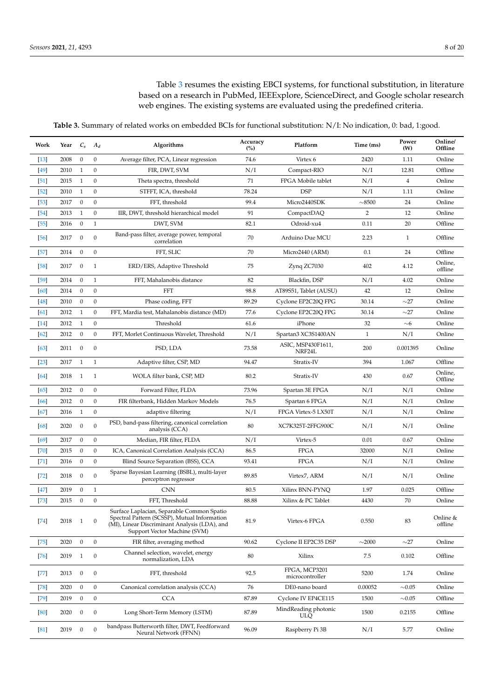Table [3](#page-7-0) resumes the existing EBCI systems, for functional substitution, in literature based on a research in PubMed, IEEExplore, ScienceDirect, and Google scholar research web engines. The existing systems are evaluated using the predefined criteria.

**Table 3.** Summary of related works on embedded BCIs for functional substitution: N/I: No indication, 0: bad, 1:good.

<span id="page-7-0"></span>

| Work   | Year | $C_{s}$          | $A_d$            | Algorithms                                                                                                                                                                  | Accuracy<br>(%) | Platform                         | Time (ms)    | Power<br>(W)   | Online/<br>Offline  |
|--------|------|------------------|------------------|-----------------------------------------------------------------------------------------------------------------------------------------------------------------------------|-----------------|----------------------------------|--------------|----------------|---------------------|
| $[13]$ | 2008 | $\boldsymbol{0}$ | $\mathbf{0}$     | Average filter, PCA, Linear regression                                                                                                                                      | 74.6            | Virtex 6                         | 2420         | 1.11           | Online              |
| $[49]$ | 2010 | 1                | $\boldsymbol{0}$ | FIR, DWT, SVM                                                                                                                                                               | N/I             | Compact-RIO                      | N/I          | 12.81          | Offline             |
| $[51]$ | 2015 | $\mathbf{1}$     | $\mathbf{0}$     | Theta spectra, threshold                                                                                                                                                    | 71              | FPGA Mobile tablet               | N/I          | $\overline{4}$ | Online              |
| $[52]$ | 2010 | $\mathbf{1}$     | $\boldsymbol{0}$ | STFFT, ICA, threshold                                                                                                                                                       | 78.24           | <b>DSP</b>                       | N/I          | 1.11           | Online              |
| $[53]$ | 2017 | $\boldsymbol{0}$ | $\boldsymbol{0}$ | FFT, threshold                                                                                                                                                              | 99.4            | Micro2440SDK                     | ${\sim}8500$ | 24             | Online              |
| $[54]$ | 2013 | $\mathbf{1}$     | $\boldsymbol{0}$ | IIR, DWT, threshold hierarchical model                                                                                                                                      | 91              | CompactDAQ                       | 2            | 12             | Online              |
| $[55]$ | 2016 | $\boldsymbol{0}$ | $\mathbf{1}$     | DWT, SVM                                                                                                                                                                    | 82.1            | Odroid-xu4                       | 0.11         | 20             | Offline             |
| [56]   | 2017 | $\boldsymbol{0}$ | $\boldsymbol{0}$ | Band-pass filter, average power, temporal<br>correlation                                                                                                                    | 70              | Arduino Due MCU                  | 2.23         | $\mathbf{1}$   | Offline             |
| $[57]$ | 2014 | $\boldsymbol{0}$ | $\mathbf{0}$     | FFT, SLIC                                                                                                                                                                   | 70              | Micro2440 (ARM)                  | 0.1          | 24             | Offline             |
| $[58]$ | 2017 | $\boldsymbol{0}$ | $\mathbf{1}$     | ERD/ERS, Adaptive Threshold                                                                                                                                                 | 75              | Zynq ZC7030                      | 402          | 4.12           | Online,<br>offline  |
| $[59]$ | 2014 | $\boldsymbol{0}$ | $\mathbf{1}$     | FFT, Mahalanobis distance                                                                                                                                                   | 82              | Blackfin, DSP                    | N/I          | 4.02           | Online              |
| [60]   | 2014 | $\boldsymbol{0}$ | $\mathbf{0}$     | <b>FFT</b>                                                                                                                                                                  | 98.8            | AT89S51, Tablet (AUSU)           | 42           | 12             | Online              |
| [48]   | 2010 | $\boldsymbol{0}$ | $\mathbf{0}$     | Phase coding, FFT                                                                                                                                                           | 89.29           | Cyclone EP2C20O FPG              | 30.14        | $\sim$ 27      | Online              |
| [61]   | 2012 | 1                | $\mathbf{0}$     | FFT, Mardia test, Mahalanobis distance (MD)                                                                                                                                 | 77.6            | Cyclone EP2C20Q FPG              | 30.14        | $\sim$ 27      | Online              |
| $[14]$ | 2012 | $\mathbf{1}$     | $\mathbf{0}$     | Threshold                                                                                                                                                                   | 61.6            | iPhone                           | 32           | $\sim$ 6       | Online              |
| [62]   | 2012 | $\boldsymbol{0}$ | $\mathbf{0}$     | FFT, Morlet Continuous Wavelet, Threshold                                                                                                                                   | N/I             | Spartan3 XC3S1400AN              | $\mathbf{1}$ | N/I            | Online              |
| [63]   | 2011 | $\mathbf{0}$     | $\mathbf{0}$     | PSD, LDA                                                                                                                                                                    | 73.58           | ASIC, MSP430F1611,<br>NRF24L     | 200          | 0.001395       | Online              |
| $[23]$ | 2017 | $\mathbf{1}$     | $\mathbf{1}$     | Adaptive filter, CSP, MD                                                                                                                                                    | 94.47           | Stratix-IV                       | 394          | 1.067          | Offline             |
| [64]   | 2018 | $\mathbf{1}$     | $\mathbf{1}$     | WOLA filter bank, CSP, MD                                                                                                                                                   | 80.2            | Stratix-IV                       | 430          | 0.67           | Online,<br>Offline  |
| [65]   | 2012 | $\boldsymbol{0}$ | $\mathbf{0}$     | Forward Filter, FLDA                                                                                                                                                        | 73.96           | Spartan 3E FPGA                  | N/I          | N/I            | Online              |
| [66]   | 2012 | $\boldsymbol{0}$ | $\mathbf{0}$     | FIR filterbank, Hidden Markov Models                                                                                                                                        | 76.5            | Spartan 6 FPGA                   | N/I          | N/I            | Online              |
| $[67]$ | 2016 | $\mathbf{1}$     | $\boldsymbol{0}$ | adaptive filtering                                                                                                                                                          | N/I             | FPGA Virtex-5 LX50T              | N/I          | N/I            | Online              |
| [68]   | 2020 | $\boldsymbol{0}$ | $\mathbf{0}$     | PSD, band-pass filtering, canonical correlation<br>analysis (CCA)                                                                                                           | 80              | XC7K325T-2FFG900C                | N/I          | N/I            | Online              |
| [69]   | 2017 | $\boldsymbol{0}$ | $\mathbf{0}$     | Median, FIR filter, FLDA                                                                                                                                                    | N/I             | Virtex-5                         | 0.01         | 0.67           | Online              |
| $[70]$ | 2015 | $\boldsymbol{0}$ | $\mathbf{0}$     | ICA, Canonical Correlation Analysis (CCA)                                                                                                                                   | 86.5            | <b>FPGA</b>                      | 32000        | N/I            | Online              |
| $[71]$ | 2016 | $\boldsymbol{0}$ | $\mathbf{0}$     | Blind Source Separation (BSS), CCA                                                                                                                                          | 93.41           | <b>FPGA</b>                      | N/I          | N/I            | Online              |
| $[72]$ | 2018 | $\boldsymbol{0}$ | $\boldsymbol{0}$ | Sparse Bayesian Learning (BSBL), multi-layer<br>perceptron regressor                                                                                                        | 89.85           | Virtex7, ARM                     | N/I          | N/I            | Online              |
| $[47]$ | 2019 | $\boldsymbol{0}$ | $\mathbf{1}$     | <b>CNN</b>                                                                                                                                                                  | 80.5            | Xilinx BNN-PYNQ                  | 1.97         | 0.025          | Offline             |
| $[73]$ | 2015 | $\boldsymbol{0}$ | $\boldsymbol{0}$ | FFT, Threshold                                                                                                                                                              | 88.88           | Xilinx & PC Tablet               | 4430         | 70             | Online              |
| $[74]$ | 2018 | $\,$ 1 $\,$      | $\mathbf{0}$     | Surface Laplacian, Separable Common Spatio<br>Spectral Pattern (SCSSP), Mutual Information<br>(MI), Linear Discriminant Analysis (LDA), and<br>Support Vector Machine (SVM) | 81.9            | Virtex-6 FPGA                    | 0.550        | 83             | Online &<br>offline |
| $[75]$ | 2020 | $\boldsymbol{0}$ | $\boldsymbol{0}$ | FIR filter, averaging method                                                                                                                                                | 90.62           | Cyclone II EP2C35 DSP            | $\sim$ 2000  | $\sim$ 27      | Online              |
| $[76]$ | 2019 | $\mathbf{1}$     | $\boldsymbol{0}$ | Channel selection, wavelet, energy<br>normalization, LDA                                                                                                                    | 80              | Xilinx                           | 7.5          | 0.102          | Offline             |
| $[77]$ | 2013 | $\boldsymbol{0}$ | $\boldsymbol{0}$ | FFT, threshold                                                                                                                                                              | 92.5            | FPGA, MCP3201<br>microcontroller | 5200         | 1.74           | Online              |
| $[78]$ | 2020 | $\boldsymbol{0}$ | $\boldsymbol{0}$ | Canonical correlation analysis (CCA)                                                                                                                                        | 76              | DE0-nano board                   | 0.00052      | $\sim 0.05$    | Online              |
| [79]   | 2019 | $\boldsymbol{0}$ | $\boldsymbol{0}$ | <b>CCA</b>                                                                                                                                                                  | 87.89           | Cyclone IV EP4CE115              | 1500         | $\sim 0.05$    | Offline             |
| [80]   | 2020 | $\boldsymbol{0}$ | $\boldsymbol{0}$ | Long Short-Term Memory (LSTM)                                                                                                                                               | 87.89           | MindReading photonic<br>ULQ      | 1500         | 0.2155         | Offline             |
| $[81]$ | 2019 | $\boldsymbol{0}$ | $\boldsymbol{0}$ | bandpass Butterworth filter, DWT, Feedforward<br>Neural Network (FFNN)                                                                                                      | 96.09           | Raspberry Pi 3B                  | N/I          | 5.77           | Online              |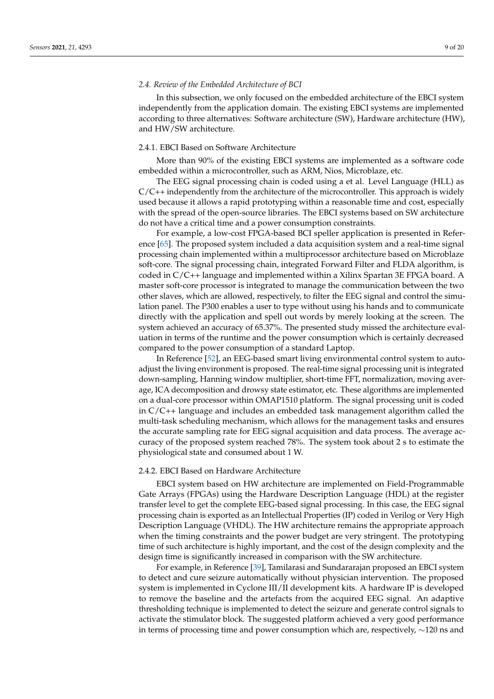## *2.4. Review of the Embedded Architecture of BCI*

In this subsection, we only focused on the embedded architecture of the EBCI system independently from the application domain. The existing EBCI systems are implemented according to three alternatives: Software architecture (SW), Hardware architecture (HW), and HW/SW architecture.

## 2.4.1. EBCI Based on Software Architecture

More than 90% of the existing EBCI systems are implemented as a software code embedded within a microcontroller, such as ARM, Nios, Microblaze, etc.

The EEG signal processing chain is coded using a et al. Level Language (HLL) as  $C/C++$  independently from the architecture of the microcontroller. This approach is widely used because it allows a rapid prototyping within a reasonable time and cost, especially with the spread of the open-source libraries. The EBCI systems based on SW architecture do not have a critical time and a power consumption constraints.

For example, a low-cost FPGA-based BCI speller application is presented in Reference [\[65\]](#page-18-3). The proposed system included a data acquisition system and a real-time signal processing chain implemented within a multiprocessor architecture based on Microblaze soft-core. The signal processing chain, integrated Forward Filter and FLDA algorithm, is coded in C/C++ language and implemented within a Xilinx Spartan 3E FPGA board. A master soft-core processor is integrated to manage the communication between the two other slaves, which are allowed, respectively, to filter the EEG signal and control the simulation panel. The P300 enables a user to type without using his hands and to communicate directly with the application and spell out words by merely looking at the screen. The system achieved an accuracy of 65.37%. The presented study missed the architecture evaluation in terms of the runtime and the power consumption which is certainly decreased compared to the power consumption of a standard Laptop.

In Reference [\[52\]](#page-17-13), an EEG-based smart living environmental control system to autoadjust the living environment is proposed. The real-time signal processing unit is integrated down-sampling, Hanning window multiplier, short-time FFT, normalization, moving average, ICA decomposition and drowsy state estimator, etc. These algorithms are implemented on a dual-core processor within OMAP1510 platform. The signal processing unit is coded in C/C++ language and includes an embedded task management algorithm called the multi-task scheduling mechanism, which allows for the management tasks and ensures the accurate sampling rate for EEG signal acquisition and data process. The average accuracy of the proposed system reached 78%. The system took about 2 s to estimate the physiological state and consumed about 1 W.

### 2.4.2. EBCI Based on Hardware Architecture

EBCI system based on HW architecture are implemented on Field-Programmable Gate Arrays (FPGAs) using the Hardware Description Language (HDL) at the register transfer level to get the complete EEG-based signal processing. In this case, the EEG signal processing chain is exported as an Intellectual Properties (IP) coded in Verilog or Very High Description Language (VHDL). The HW architecture remains the appropriate approach when the timing constraints and the power budget are very stringent. The prototyping time of such architecture is highly important, and the cost of the design complexity and the design time is significantly increased in comparison with the SW architecture.

For example, in Reference [\[39\]](#page-17-0), Tamilarasi and Sundararajan proposed an EBCI system to detect and cure seizure automatically without physician intervention. The proposed system is implemented in Cyclone III/II development kits. A hardware IP is developed to remove the baseline and the artefacts from the acquired EEG signal. An adaptive thresholding technique is implemented to detect the seizure and generate control signals to activate the stimulator block. The suggested platform achieved a very good performance in terms of processing time and power consumption which are, respectively, ∼120 ns and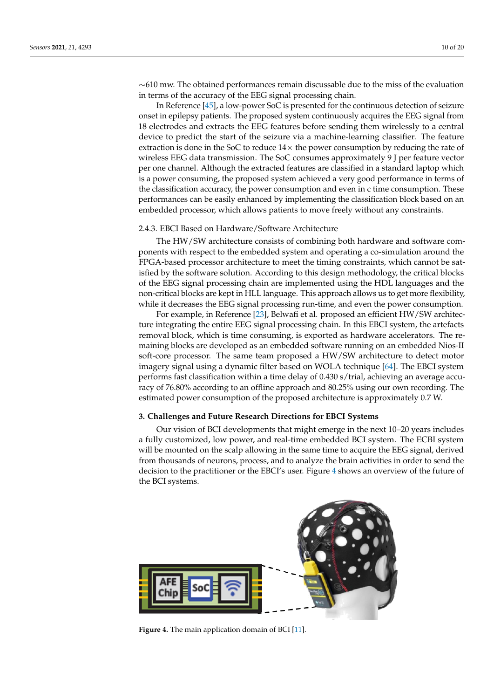∼610 mw. The obtained performances remain discussable due to the miss of the evaluation in terms of the accuracy of the EEG signal processing chain.

In Reference [\[45\]](#page-17-6), a low-power SoC is presented for the continuous detection of seizure onset in epilepsy patients. The proposed system continuously acquires the EEG signal from 18 electrodes and extracts the EEG features before sending them wirelessly to a central device to predict the start of the seizure via a machine-learning classifier. The feature extraction is done in the SoC to reduce  $14\times$  the power consumption by reducing the rate of wireless EEG data transmission. The SoC consumes approximately 9 J per feature vector per one channel. Although the extracted features are classified in a standard laptop which is a power consuming, the proposed system achieved a very good performance in terms of the classification accuracy, the power consumption and even in c time consumption. These performances can be easily enhanced by implementing the classification block based on an embedded processor, which allows patients to move freely without any constraints.

## 2.4.3. EBCI Based on Hardware/Software Architecture

The HW/SW architecture consists of combining both hardware and software components with respect to the embedded system and operating a co-simulation around the FPGA-based processor architecture to meet the timing constraints, which cannot be satisfied by the software solution. According to this design methodology, the critical blocks of the EEG signal processing chain are implemented using the HDL languages and the non-critical blocks are kept in HLL language. This approach allows us to get more flexibility, while it decreases the EEG signal processing run-time, and even the power consumption.

For example, in Reference [\[23\]](#page-16-7), Belwafi et al. proposed an efficient HW/SW architecture integrating the entire EEG signal processing chain. In this EBCI system, the artefacts removal block, which is time consuming, is exported as hardware accelerators. The remaining blocks are developed as an embedded software running on an embedded Nios-II soft-core processor. The same team proposed a HW/SW architecture to detect motor imagery signal using a dynamic filter based on WOLA technique [\[64\]](#page-18-2). The EBCI system performs fast classification within a time delay of 0.430 s/trial, achieving an average accuracy of 76.80% according to an offline approach and 80.25% using our own recording. The estimated power consumption of the proposed architecture is approximately 0.7 W.

#### <span id="page-9-0"></span>**3. Challenges and Future Research Directions for EBCI Systems**

Our vision of BCI developments that might emerge in the next 10–20 years includes a fully customized, low power, and real-time embedded BCI system. The ECBI system will be mounted on the scalp allowing in the same time to acquire the EEG signal, derived from thousands of neurons, process, and to analyze the brain activities in order to send the decision to the practitioner or the EBCI's user. Figure [4](#page-9-1) shows an overview of the future of the BCI systems.

<span id="page-9-1"></span>

Figure 4. The main application domain of BCI [\[11\]](#page-15-8).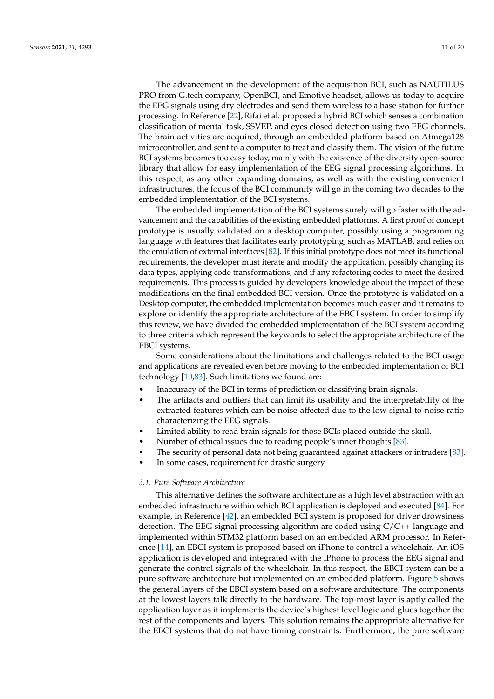The advancement in the development of the acquisition BCI, such as NAUTILUS PRO from G.tech company, OpenBCI, and Emotive headset, allows us today to acquire the EEG signals using dry electrodes and send them wireless to a base station for further processing. In Reference [\[22\]](#page-16-6), Rifai et al. proposed a hybrid BCI which senses a combination classification of mental task, SSVEP, and eyes closed detection using two EEG channels. The brain activities are acquired, through an embedded platform based on Atmega128 microcontroller, and sent to a computer to treat and classify them. The vision of the future BCI systems becomes too easy today, mainly with the existence of the diversity open-source library that allow for easy implementation of the EEG signal processing algorithms. In this respect, as any other expanding domains, as well as with the existing convenient infrastructures, the focus of the BCI community will go in the coming two decades to the embedded implementation of the BCI systems.

The embedded implementation of the BCI systems surely will go faster with the advancement and the capabilities of the existing embedded platforms. A first proof of concept prototype is usually validated on a desktop computer, possibly using a programming language with features that facilitates early prototyping, such as MATLAB, and relies on the emulation of external interfaces [\[82\]](#page-18-20). If this initial prototype does not meet its functional requirements, the developer must iterate and modify the application, possibly changing its data types, applying code transformations, and if any refactoring codes to meet the desired requirements. This process is guided by developers knowledge about the impact of these modifications on the final embedded BCI version. Once the prototype is validated on a Desktop computer, the embedded implementation becomes much easier and it remains to explore or identify the appropriate architecture of the EBCI system. In order to simplify this review, we have divided the embedded implementation of the BCI system according to three criteria which represent the keywords to select the appropriate architecture of the EBCI systems.

Some considerations about the limitations and challenges related to the BCI usage and applications are revealed even before moving to the embedded implementation of BCI technology [\[10](#page-15-7)[,83\]](#page-18-21). Such limitations we found are:

- Inaccuracy of the BCI in terms of prediction or classifying brain signals.
- The artifacts and outliers that can limit its usability and the interpretability of the extracted features which can be noise-affected due to the low signal-to-noise ratio characterizing the EEG signals.
- Limited ability to read brain signals for those BCIs placed outside the skull.
- Number of ethical issues due to reading people's inner thoughts [\[83\]](#page-18-21).
- The security of personal data not being guaranteed against attackers or intruders [\[83\]](#page-18-21).
- In some cases, requirement for drastic surgery.

#### *3.1. Pure Software Architecture*

This alternative defines the software architecture as a high level abstraction with an embedded infrastructure within which BCI application is deployed and executed [\[84\]](#page-18-22). For example, in Reference [\[42\]](#page-17-3), an embedded BCI system is proposed for driver drowsiness detection. The EEG signal processing algorithm are coded using  $C/C++$  language and implemented within STM32 platform based on an embedded ARM processor. In Reference [\[14\]](#page-16-1), an EBCI system is proposed based on iPhone to control a wheelchair. An iOS application is developed and integrated with the iPhone to process the EEG signal and generate the control signals of the wheelchair. In this respect, the EBCI system can be a pure software architecture but implemented on an embedded platform. Figure [5](#page-11-0) shows the general layers of the EBCI system based on a software architecture. The components at the lowest layers talk directly to the hardware. The top-most layer is aptly called the application layer as it implements the device's highest level logic and glues together the rest of the components and layers. This solution remains the appropriate alternative for the EBCI systems that do not have timing constraints. Furthermore, the pure software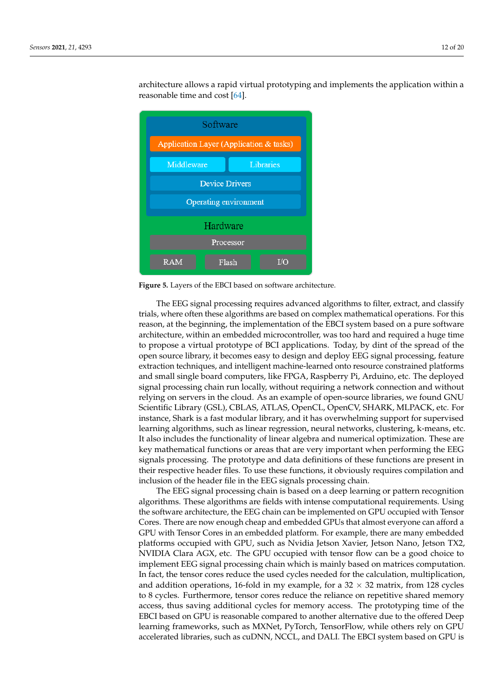architecture allows a rapid virtual prototyping and implements the application within a reasonable time and cost [\[64\]](#page-18-2).

<span id="page-11-0"></span>

**Figure 5.** Layers of the EBCI based on software architecture.

The EEG signal processing requires advanced algorithms to filter, extract, and classify trials, where often these algorithms are based on complex mathematical operations. For this reason, at the beginning, the implementation of the EBCI system based on a pure software architecture, within an embedded microcontroller, was too hard and required a huge time to propose a virtual prototype of BCI applications. Today, by dint of the spread of the open source library, it becomes easy to design and deploy EEG signal processing, feature extraction techniques, and intelligent machine-learned onto resource constrained platforms and small single board computers, like FPGA, Raspberry Pi, Arduino, etc. The deployed signal processing chain run locally, without requiring a network connection and without relying on servers in the cloud. As an example of open-source libraries, we found GNU Scientific Library (GSL), CBLAS, ATLAS, OpenCL, OpenCV, SHARK, MLPACK, etc. For instance, Shark is a fast modular library, and it has overwhelming support for supervised learning algorithms, such as linear regression, neural networks, clustering, k-means, etc. It also includes the functionality of linear algebra and numerical optimization. These are key mathematical functions or areas that are very important when performing the EEG signals processing. The prototype and data definitions of these functions are present in their respective header files. To use these functions, it obviously requires compilation and inclusion of the header file in the EEG signals processing chain.

The EEG signal processing chain is based on a deep learning or pattern recognition algorithms. These algorithms are fields with intense computational requirements. Using the software architecture, the EEG chain can be implemented on GPU occupied with Tensor Cores. There are now enough cheap and embedded GPUs that almost everyone can afford a GPU with Tensor Cores in an embedded platform. For example, there are many embedded platforms occupied with GPU, such as Nvidia Jetson Xavier, Jetson Nano, Jetson TX2, NVIDIA Clara AGX, etc. The GPU occupied with tensor flow can be a good choice to implement EEG signal processing chain which is mainly based on matrices computation. In fact, the tensor cores reduce the used cycles needed for the calculation, multiplication, and addition operations, 16-fold in my example, for a  $32 \times 32$  matrix, from 128 cycles to 8 cycles. Furthermore, tensor cores reduce the reliance on repetitive shared memory access, thus saving additional cycles for memory access. The prototyping time of the EBCI based on GPU is reasonable compared to another alternative due to the offered Deep learning frameworks, such as MXNet, PyTorch, TensorFlow, while others rely on GPU accelerated libraries, such as cuDNN, NCCL, and DALI. The EBCI system based on GPU is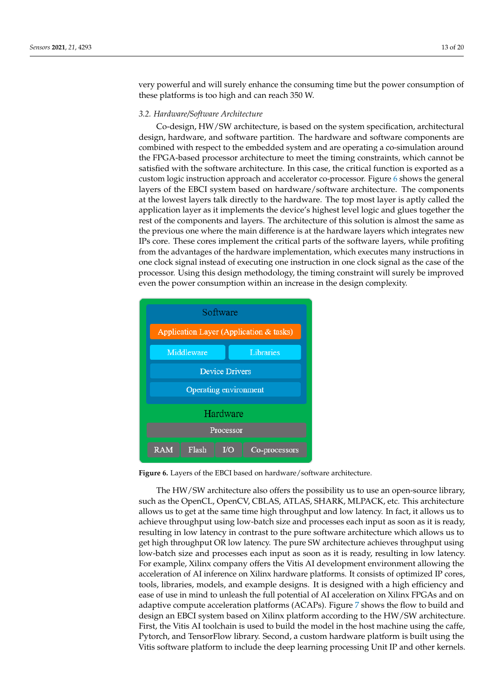very powerful and will surely enhance the consuming time but the power consumption of these platforms is too high and can reach 350 W.

## *3.2. Hardware/Software Architecture*

Co-design, HW/SW architecture, is based on the system specification, architectural design, hardware, and software partition. The hardware and software components are combined with respect to the embedded system and are operating a co-simulation around the FPGA-based processor architecture to meet the timing constraints, which cannot be satisfied with the software architecture. In this case, the critical function is exported as a custom logic instruction approach and accelerator co-processor. Figure [6](#page-12-0) shows the general layers of the EBCI system based on hardware/software architecture. The components at the lowest layers talk directly to the hardware. The top most layer is aptly called the application layer as it implements the device's highest level logic and glues together the rest of the components and layers. The architecture of this solution is almost the same as the previous one where the main difference is at the hardware layers which integrates new IPs core. These cores implement the critical parts of the software layers, while profiting from the advantages of the hardware implementation, which executes many instructions in one clock signal instead of executing one instruction in one clock signal as the case of the processor. Using this design methodology, the timing constraint will surely be improved even the power consumption within an increase in the design complexity.

<span id="page-12-0"></span>

**Figure 6.** Layers of the EBCI based on hardware/software architecture.

The HW/SW architecture also offers the possibility us to use an open-source library, such as the OpenCL, OpenCV, CBLAS, ATLAS, SHARK, MLPACK, etc. This architecture allows us to get at the same time high throughput and low latency. In fact, it allows us to achieve throughput using low-batch size and processes each input as soon as it is ready, resulting in low latency in contrast to the pure software architecture which allows us to get high throughput OR low latency. The pure SW architecture achieves throughput using low-batch size and processes each input as soon as it is ready, resulting in low latency. For example, Xilinx company offers the Vitis AI development environment allowing the acceleration of AI inference on Xilinx hardware platforms. It consists of optimized IP cores, tools, libraries, models, and example designs. It is designed with a high efficiency and ease of use in mind to unleash the full potential of AI acceleration on Xilinx FPGAs and on adaptive compute acceleration platforms (ACAPs). Figure [7](#page-13-0) shows the flow to build and design an EBCI system based on Xilinx platform according to the HW/SW architecture. First, the Vitis AI toolchain is used to build the model in the host machine using the caffe, Pytorch, and TensorFlow library. Second, a custom hardware platform is built using the Vitis software platform to include the deep learning processing Unit IP and other kernels.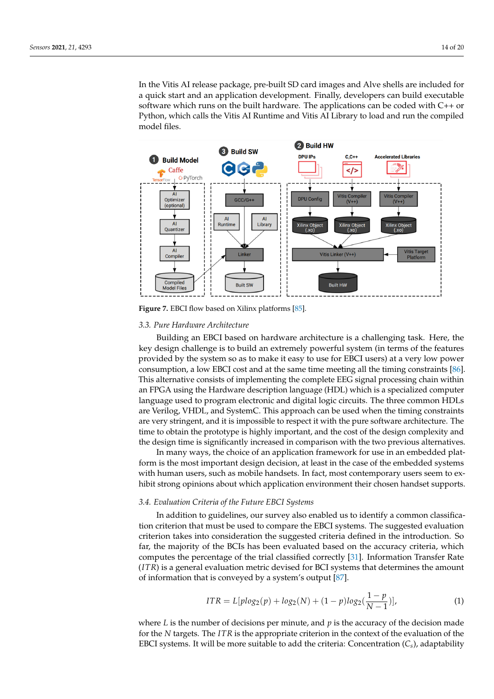In the Vitis AI release package, pre-built SD card images and Alve shells are included for a quick start and an application development. Finally, developers can build executable software which runs on the built hardware. The applications can be coded with C++ or Python, which calls the Vitis AI Runtime and Vitis AI Library to load and run the compiled model files.

<span id="page-13-0"></span>

**Figure 7.** EBCI flow based on Xilinx platforms [\[85\]](#page-18-23).

## *3.3. Pure Hardware Architecture*

Building an EBCI based on hardware architecture is a challenging task. Here, the key design challenge is to build an extremely powerful system (in terms of the features provided by the system so as to make it easy to use for EBCI users) at a very low power consumption, a low EBCI cost and at the same time meeting all the timing constraints [\[86\]](#page-19-0). This alternative consists of implementing the complete EEG signal processing chain within an FPGA using the Hardware description language (HDL) which is a specialized computer language used to program electronic and digital logic circuits. The three common HDLs are Verilog, VHDL, and SystemC. This approach can be used when the timing constraints are very stringent, and it is impossible to respect it with the pure software architecture. The time to obtain the prototype is highly important, and the cost of the design complexity and the design time is significantly increased in comparison with the two previous alternatives.

In many ways, the choice of an application framework for use in an embedded platform is the most important design decision, at least in the case of the embedded systems with human users, such as mobile handsets. In fact, most contemporary users seem to exhibit strong opinions about which application environment their chosen handset supports.

## *3.4. Evaluation Criteria of the Future EBCI Systems*

In addition to guidelines, our survey also enabled us to identify a common classification criterion that must be used to compare the EBCI systems. The suggested evaluation criterion takes into consideration the suggested criteria defined in the introduction. So far, the majority of the BCIs has been evaluated based on the accuracy criteria, which computes the percentage of the trial classified correctly [\[31\]](#page-16-14). Information Transfer Rate (*ITR*) is a general evaluation metric devised for BCI systems that determines the amount of information that is conveyed by a system's output [\[87\]](#page-19-1).

<span id="page-13-1"></span>
$$
ITR = L[plog_2(p) + log_2(N) + (1-p)log_2(\frac{1-p}{N-1})],
$$
\n(1)

where *L* is the number of decisions per minute, and *p* is the accuracy of the decision made for the *N* targets. The *ITR* is the appropriate criterion in the context of the evaluation of the EBCI systems. It will be more suitable to add the criteria: Concentration (*Cs*), adaptability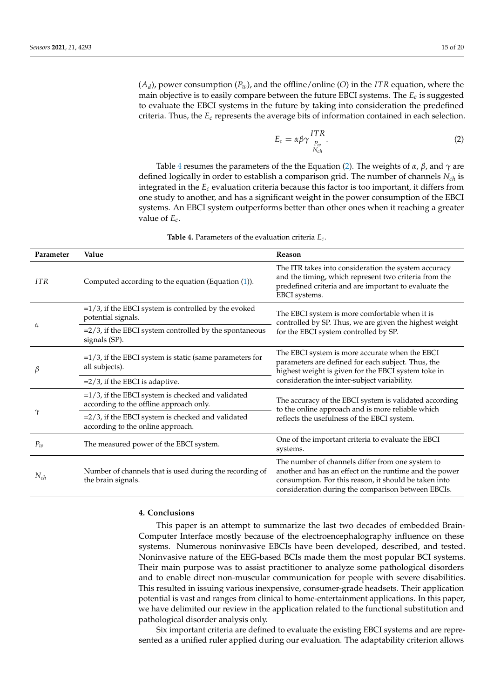(*A<sup>d</sup>* ), power consumption (*Pw*), and the offline/online (*O*) in the *ITR* equation, where the main objective is to easily compare between the future EBCI systems. The  $E_c$  is suggested to evaluate the EBCI systems in the future by taking into consideration the predefined criteria. Thus, the *E<sup>c</sup>* represents the average bits of information contained in each selection.

<span id="page-14-2"></span>
$$
E_c = \alpha \beta \gamma \frac{ITR}{\frac{P_w}{N_{ch}}}.
$$
\n(2)

Table [4](#page-14-1) resumes the parameters of the the Equation [\(2\)](#page-14-2). The weights of  $\alpha$ ,  $\beta$ , and  $\gamma$  are defined logically in order to establish a comparison grid. The number of channels *Nch* is integrated in the *E<sup>c</sup>* evaluation criteria because this factor is too important, it differs from one study to another, and has a significant weight in the power consumption of the EBCI systems. An EBCI system outperforms better than other ones when it reaching a greater value of *Ec*.

| <b>Table 4.</b> Parameters of the evaluation criteria $E_c$ . |  |
|---------------------------------------------------------------|--|
|---------------------------------------------------------------|--|

<span id="page-14-1"></span>

| Parameter  | Value                                                                                           | Reason                                                                                                                                                                                                                    |  |  |
|------------|-------------------------------------------------------------------------------------------------|---------------------------------------------------------------------------------------------------------------------------------------------------------------------------------------------------------------------------|--|--|
| <b>ITR</b> | Computed according to the equation (Equation $(1)$ ).                                           | The ITR takes into consideration the system accuracy<br>and the timing, which represent two criteria from the<br>predefined criteria and are important to evaluate the<br>EBCI systems.                                   |  |  |
| $\alpha$   | $=1/3$ , if the EBCI system is controlled by the evoked<br>potential signals.                   | The EBCI system is more comfortable when it is<br>controlled by SP. Thus, we are given the highest weight                                                                                                                 |  |  |
|            | $=$ 2/3, if the EBCI system controlled by the spontaneous<br>signals (SP).                      | for the EBCI system controlled by SP.                                                                                                                                                                                     |  |  |
| β          | $=1/3$ , if the EBCI system is static (same parameters for<br>all subjects).                    | The EBCI system is more accurate when the EBCI<br>parameters are defined for each subject. Thus, the<br>highest weight is given for the EBCI system toke in<br>consideration the inter-subject variability.               |  |  |
|            | $=2/3$ , if the EBCI is adaptive.                                                               |                                                                                                                                                                                                                           |  |  |
| $\gamma$   | $=1/3$ , if the EBCI system is checked and validated<br>according to the offline approach only. | The accuracy of the EBCI system is validated according<br>to the online approach and is more reliable which<br>reflects the usefulness of the EBCI system.                                                                |  |  |
|            | $=$ 2/3, if the EBCI system is checked and validated<br>according to the online approach.       |                                                                                                                                                                                                                           |  |  |
| $P_w$      | The measured power of the EBCI system.                                                          | One of the important criteria to evaluate the EBCI<br>systems.                                                                                                                                                            |  |  |
| $N_{ch}$   | Number of channels that is used during the recording of<br>the brain signals.                   | The number of channels differ from one system to<br>another and has an effect on the runtime and the power<br>consumption. For this reason, it should be taken into<br>consideration during the comparison between EBCIs. |  |  |

#### <span id="page-14-0"></span>**4. Conclusions**

This paper is an attempt to summarize the last two decades of embedded Brain-Computer Interface mostly because of the electroencephalography influence on these systems. Numerous noninvasive EBCIs have been developed, described, and tested. Noninvasive nature of the EEG-based BCIs made them the most popular BCI systems. Their main purpose was to assist practitioner to analyze some pathological disorders and to enable direct non-muscular communication for people with severe disabilities. This resulted in issuing various inexpensive, consumer-grade headsets. Their application potential is vast and ranges from clinical to home-entertainment applications. In this paper, we have delimited our review in the application related to the functional substitution and pathological disorder analysis only.

Six important criteria are defined to evaluate the existing EBCI systems and are represented as a unified ruler applied during our evaluation. The adaptability criterion allows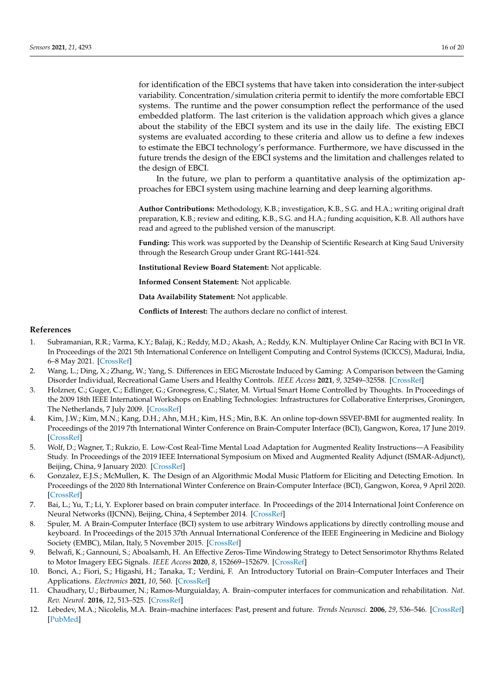for identification of the EBCI systems that have taken into consideration the inter-subject variability. Concentration/simulation criteria permit to identify the more comfortable EBCI systems. The runtime and the power consumption reflect the performance of the used embedded platform. The last criterion is the validation approach which gives a glance about the stability of the EBCI system and its use in the daily life. The existing EBCI systems are evaluated according to these criteria and allow us to define a few indexes to estimate the EBCI technology's performance. Furthermore, we have discussed in the future trends the design of the EBCI systems and the limitation and challenges related to the design of EBCI.

In the future, we plan to perform a quantitative analysis of the optimization approaches for EBCI system using machine learning and deep learning algorithms.

**Author Contributions:** Methodology, K.B.; investigation, K.B., S.G. and H.A.; writing original draft preparation, K.B.; review and editing, K.B., S.G. and H.A.; funding acquisition, K.B. All authors have read and agreed to the published version of the manuscript.

**Funding:** This work was supported by the Deanship of Scientific Research at King Saud University through the Research Group under Grant RG-1441-524.

**Institutional Review Board Statement:** Not applicable.

**Informed Consent Statement:** Not applicable.

**Data Availability Statement:** Not applicable.

**Conflicts of Interest:** The authors declare no conflict of interest.

#### **References**

- <span id="page-15-0"></span>1. Subramanian, R.R.; Varma, K.Y.; Balaji, K.; Reddy, M.D.; Akash, A.; Reddy, K.N. Multiplayer Online Car Racing with BCI In VR. In Proceedings of the 2021 5th International Conference on Intelligent Computing and Control Systems (ICICCS), Madurai, India, 6–8 May 2021. [\[CrossRef\]](http://doi.org/10.1109/iciccs51141.2021.9432154)
- <span id="page-15-1"></span>2. Wang, L.; Ding, X.; Zhang, W.; Yang, S. Differences in EEG Microstate Induced by Gaming: A Comparison between the Gaming Disorder Individual, Recreational Game Users and Healthy Controls. *IEEE Access* **2021**, *9*, 32549–32558. [\[CrossRef\]](http://dx.doi.org/10.1109/ACCESS.2021.3060112)
- <span id="page-15-2"></span>3. Holzner, C.; Guger, C.; Edlinger, G.; Gronegress, C.; Slater, M. Virtual Smart Home Controlled by Thoughts. In Proceedings of the 2009 18th IEEE International Workshops on Enabling Technologies: Infrastructures for Collaborative Enterprises, Groningen, The Netherlands, 7 July 2009. [\[CrossRef\]](http://dx.doi.org/10.1109/wetice.2009.41)
- 4. Kim, J.W.; Kim, M.N.; Kang, D.H.; Ahn, M.H.; Kim, H.S.; Min, B.K. An online top-down SSVEP-BMI for augmented reality. In Proceedings of the 2019 7th International Winter Conference on Brain-Computer Interface (BCI), Gangwon, Korea, 17 June 2019. [\[CrossRef\]](http://dx.doi.org/10.1109/iww-bci.2019.8737348)
- <span id="page-15-3"></span>5. Wolf, D.; Wagner, T.; Rukzio, E. Low-Cost Real-Time Mental Load Adaptation for Augmented Reality Instructions—A Feasibility Study. In Proceedings of the 2019 IEEE International Symposium on Mixed and Augmented Reality Adjunct (ISMAR-Adjunct), Beijing, China, 9 January 2020. [\[CrossRef\]](http://dx.doi.org/10.1109/ismar-adjunct.2019.00015)
- <span id="page-15-4"></span>6. Gonzalez, E.J.S.; McMullen, K. The Design of an Algorithmic Modal Music Platform for Eliciting and Detecting Emotion. In Proceedings of the 2020 8th International Winter Conference on Brain-Computer Interface (BCI), Gangwon, Korea, 9 April 2020. [\[CrossRef\]](http://dx.doi.org/10.1109/bci48061.2020.9061664)
- 7. Bai, L.; Yu, T.; Li, Y. Explorer based on brain computer interface. In Proceedings of the 2014 International Joint Conference on Neural Networks (IJCNN), Beijing, China, 4 September 2014. [\[CrossRef\]](http://dx.doi.org/10.1109/ijcnn.2014.6889380)
- <span id="page-15-5"></span>8. Spuler, M. A Brain-Computer Interface (BCI) system to use arbitrary Windows applications by directly controlling mouse and keyboard. In Proceedings of the 2015 37th Annual International Conference of the IEEE Engineering in Medicine and Biology Society (EMBC), Milan, Italy, 5 November 2015. [\[CrossRef\]](http://dx.doi.org/10.1109/embc.2015.7318554)
- <span id="page-15-6"></span>9. Belwafi, K.; Gannouni, S.; Aboalsamh, H. An Effective Zeros-Time Windowing Strategy to Detect Sensorimotor Rhythms Related to Motor Imagery EEG Signals. *IEEE Access* **2020**, *8*, 152669–152679. [\[CrossRef\]](http://dx.doi.org/10.1109/ACCESS.2020.3017888)
- <span id="page-15-7"></span>10. Bonci, A.; Fiori, S.; Higashi, H.; Tanaka, T.; Verdini, F. An Introductory Tutorial on Brain–Computer Interfaces and Their Applications. *Electronics* **2021**, *10*, 560. [\[CrossRef\]](http://dx.doi.org/10.3390/electronics10050560)
- <span id="page-15-8"></span>11. Chaudhary, U.; Birbaumer, N.; Ramos-Murguialday, A. Brain–computer interfaces for communication and rehabilitation. *Nat. Rev. Neurol.* **2016**, *12*, 513–525. [\[CrossRef\]](http://dx.doi.org/10.1038/nrneurol.2016.113)
- <span id="page-15-9"></span>12. Lebedev, M.A.; Nicolelis, M.A. Brain–machine interfaces: Past, present and future. *Trends Neurosci.* **2006**, *29*, 536–546. [\[CrossRef\]](http://dx.doi.org/10.1016/j.tins.2006.07.004) [\[PubMed\]](http://www.ncbi.nlm.nih.gov/pubmed/16859758)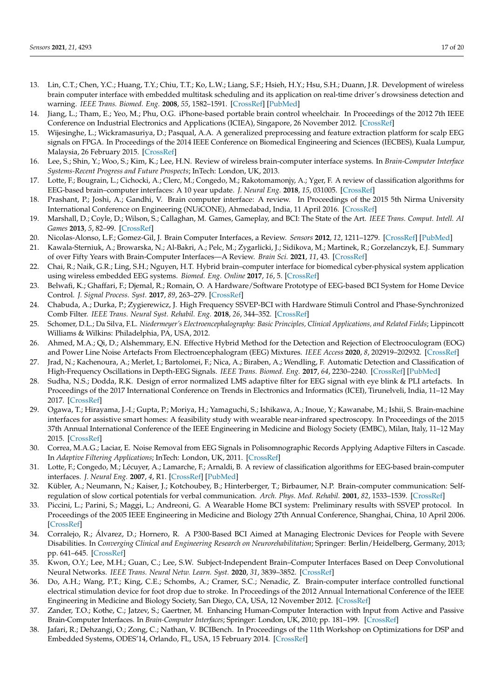- <span id="page-16-0"></span>13. Lin, C.T.; Chen, Y.C.; Huang, T.Y.; Chiu, T.T.; Ko, L.W.; Liang, S.F.; Hsieh, H.Y.; Hsu, S.H.; Duann, J.R. Development of wireless brain computer interface with embedded multitask scheduling and its application on real-time driver's drowsiness detection and warning. *IEEE Trans. Biomed. Eng.* **2008**, *55*, 1582–1591. [\[CrossRef\]](http://dx.doi.org/10.1109/TBME.2008.918566) [\[PubMed\]](http://www.ncbi.nlm.nih.gov/pubmed/18440904)
- <span id="page-16-1"></span>14. Jiang, L.; Tham, E.; Yeo, M.; Phu, O.G. iPhone-based portable brain control wheelchair. In Proceedings of the 2012 7th IEEE Conference on Industrial Electronics and Applications (ICIEA), Singapore, 26 November 2012. [\[CrossRef\]](http://dx.doi.org/10.1109/iciea.2012.6360978)
- <span id="page-16-2"></span>15. Wijesinghe, L.; Wickramasuriya, D.; Pasqual, A.A. A generalized preprocessing and feature extraction platform for scalp EEG signals on FPGA. In Proceedings of the 2014 IEEE Conference on Biomedical Engineering and Sciences (IECBES), Kuala Lumpur, Malaysia, 26 February 2015. [\[CrossRef\]](http://dx.doi.org/10.1109/iecbes.2014.7047472)
- <span id="page-16-3"></span>16. Lee, S.; Shin, Y.; Woo, S.; Kim, K.; Lee, H.N. Review of wireless brain-computer interface systems. In *Brain-Computer Interface Systems-Recent Progress and Future Prospects*; InTech: London, UK, 2013.
- 17. Lotte, F.; Bougrain, L.; Cichocki, A.; Clerc, M.; Congedo, M.; Rakotomamonjy, A.; Yger, F. A review of classification algorithms for EEG-based brain–computer interfaces: A 10 year update. *J. Neural Eng.* **2018**, *15*, 031005. [\[CrossRef\]](http://dx.doi.org/10.1088/1741-2552/aab2f2)
- 18. Prashant, P.; Joshi, A.; Gandhi, V. Brain computer interface: A review. In Proceedings of the 2015 5th Nirma University International Conference on Engineering (NUiCONE), Ahmedabad, India, 11 April 2016. [\[CrossRef\]](http://dx.doi.org/10.1109/nuicone.2015.7449615)
- 19. Marshall, D.; Coyle, D.; Wilson, S.; Callaghan, M. Games, Gameplay, and BCI: The State of the Art. *IEEE Trans. Comput. Intell. AI Games* **2013**, *5*, 82–99. [\[CrossRef\]](http://dx.doi.org/10.1109/TCIAIG.2013.2263555)
- <span id="page-16-4"></span>20. Nicolas-Alonso, L.F.; Gomez-Gil, J. Brain Computer Interfaces, a Review. *Sensors* **2012**, *12*, 1211–1279. [\[CrossRef\]](http://dx.doi.org/10.3390/s120201211) [\[PubMed\]](http://www.ncbi.nlm.nih.gov/pubmed/22438708)
- <span id="page-16-5"></span>21. Kawala-Sterniuk, A.; Browarska, N.; Al-Bakri, A.; Pelc, M.; Zygarlicki, J.; Sidikova, M.; Martinek, R.; Gorzelanczyk, E.J. Summary of over Fifty Years with Brain-Computer Interfaces—A Review. *Brain Sci.* **2021**, *11*, 43. [\[CrossRef\]](http://dx.doi.org/10.3390/brainsci11010043)
- <span id="page-16-6"></span>22. Chai, R.; Naik, G.R.; Ling, S.H.; Nguyen, H.T. Hybrid brain–computer interface for biomedical cyber-physical system application using wireless embedded EEG systems. *Biomed. Eng. Online* **2017**, *16*, 5. [\[CrossRef\]](http://dx.doi.org/10.1186/s12938-016-0303-x)
- <span id="page-16-7"></span>23. Belwafi, K.; Ghaffari, F.; Djemal, R.; Romain, O. A Hardware/Software Prototype of EEG-based BCI System for Home Device Control. *J. Signal Process. Syst.* **2017**, *89*, 263–279. [\[CrossRef\]](http://dx.doi.org/10.1007/s11265-016-1192-8)
- <span id="page-16-8"></span>24. Chabuda, A.; Durka, P.; Zygierewicz, J. High Frequency SSVEP-BCI with Hardware Stimuli Control and Phase-Synchronized Comb Filter. *IEEE Trans. Neural Syst. Rehabil. Eng.* **2018**, *26*, 344–352. [\[CrossRef\]](http://dx.doi.org/10.1109/TNSRE.2017.2734164)
- <span id="page-16-9"></span>25. Schomer, D.L.; Da Silva, F.L. *Niedermeyer's Electroencephalography: Basic Principles, Clinical Applications, and Related Fields*; Lippincott Williams & Wilkins: Philadelphia, PA, USA, 2012.
- <span id="page-16-10"></span>26. Ahmed, M.A.; Qi, D.; Alshemmary, E.N. Effective Hybrid Method for the Detection and Rejection of Electrooculogram (EOG) and Power Line Noise Artefacts From Electroencephalogram (EEG) Mixtures. *IEEE Access* **2020**, *8*, 202919–202932. [\[CrossRef\]](http://dx.doi.org/10.1109/ACCESS.2020.3036134)
- 27. Jrad, N.; Kachenoura, A.; Merlet, I.; Bartolomei, F.; Nica, A.; Biraben, A.; Wendling, F. Automatic Detection and Classification of High-Frequency Oscillations in Depth-EEG Signals. *IEEE Trans. Biomed. Eng.* **2017**, *64*, 2230–2240. [\[CrossRef\]](http://dx.doi.org/10.1109/TBME.2016.2633391) [\[PubMed\]](http://www.ncbi.nlm.nih.gov/pubmed/28113293)
- <span id="page-16-11"></span>28. Sudha, N.S.; Dodda, R.K. Design of error normalized LMS adaptive filter for EEG signal with eye blink & PLI artefacts. In Proceedings of the 2017 International Conference on Trends in Electronics and Informatics (ICEI), Tirunelveli, India, 11–12 May 2017. [\[CrossRef\]](http://dx.doi.org/10.1109/icoei.2017.8300714)
- <span id="page-16-12"></span>29. Ogawa, T.; Hirayama, J.-I.; Gupta, P.; Moriya, H.; Yamaguchi, S.; Ishikawa, A.; Inoue, Y.; Kawanabe, M.; Ishii, S. Brain-machine interfaces for assistive smart homes: A feasibility study with wearable near-infrared spectroscopy. In Proceedings of the 2015 37th Annual International Conference of the IEEE Engineering in Medicine and Biology Society (EMBC), Milan, Italy, 11–12 May 2015. [\[CrossRef\]](http://dx.doi.org/10.1109/embc.2015.7318559)
- <span id="page-16-13"></span>30. Correa, M.A.G.; Laciar, E. Noise Removal from EEG Signals in Polisomnographic Records Applying Adaptive Filters in Cascade. In *Adaptive Filtering Applications*; InTech: London, UK, 2011. [\[CrossRef\]](http://dx.doi.org/10.5772/17219)
- <span id="page-16-14"></span>31. Lotte, F.; Congedo, M.; Lécuyer, A.; Lamarche, F.; Arnaldi, B. A review of classification algorithms for EEG-based brain-computer interfaces. *J. Neural Eng.* **2007**, *4*, R1. [\[CrossRef\]](http://dx.doi.org/10.1088/1741-2560/4/2/R01) [\[PubMed\]](http://www.ncbi.nlm.nih.gov/pubmed/17409472)
- <span id="page-16-15"></span>32. Kübler, A.; Neumann, N.; Kaiser, J.; Kotchoubey, B.; Hinterberger, T.; Birbaumer, N.P. Brain-computer communication: Selfregulation of slow cortical potentials for verbal communication. *Arch. Phys. Med. Rehabil.* **2001**, *82*, 1533–1539. [\[CrossRef\]](http://dx.doi.org/10.1053/apmr.2001.26621)
- <span id="page-16-16"></span>33. Piccini, L.; Parini, S.; Maggi, L.; Andreoni, G. A Wearable Home BCI system: Preliminary results with SSVEP protocol. In Proceedings of the 2005 IEEE Engineering in Medicine and Biology 27th Annual Conference, Shanghai, China, 10 April 2006. [\[CrossRef\]](http://dx.doi.org/10.1109/iembs.2005.1615699)
- <span id="page-16-17"></span>34. Corralejo, R.; Álvarez, D.; Hornero, R. A P300-Based BCI Aimed at Managing Electronic Devices for People with Severe Disabilities. In *Converging Clinical and Engineering Research on Neurorehabilitation*; Springer: Berlin/Heidelberg, Germany, 2013; pp. 641–645. [\[CrossRef\]](http://dx.doi.org/10.1007/978-3-642-34546-3_104)
- <span id="page-16-18"></span>35. Kwon, O.Y.; Lee, M.H.; Guan, C.; Lee, S.W. Subject-Independent Brain–Computer Interfaces Based on Deep Convolutional Neural Networks. *IEEE Trans. Neural Netw. Learn. Syst.* **2020**, *31*, 3839–3852. [\[CrossRef\]](http://dx.doi.org/10.1109/TNNLS.2019.2946869)
- <span id="page-16-19"></span>36. Do, A.H.; Wang, P.T.; King, C.E.; Schombs, A.; Cramer, S.C.; Nenadic, Z. Brain-computer interface controlled functional electrical stimulation device for foot drop due to stroke. In Proceedings of the 2012 Annual International Conference of the IEEE Engineering in Medicine and Biology Society, San Diego, CA, USA, 12 November 2012. [\[CrossRef\]](http://dx.doi.org/10.1109/embc.2012.6347462)
- <span id="page-16-20"></span>37. Zander, T.O.; Kothe, C.; Jatzev, S.; Gaertner, M. Enhancing Human-Computer Interaction with Input from Active and Passive Brain-Computer Interfaces. In *Brain-Computer Interfaces*; Springer: London, UK, 2010; pp. 181–199. [\[CrossRef\]](http://dx.doi.org/10.1007/978-1-84996-272-8_11)
- <span id="page-16-21"></span>38. Jafari, R.; Dehzangi, O.; Zong, C.; Nathan, V. BCIBench. In Proceedings of the 11th Workshop on Optimizations for DSP and Embedded Systems, ODES'14, Orlando, FL, USA, 15 February 2014. [\[CrossRef\]](http://dx.doi.org/10.1145/2568326.2568330)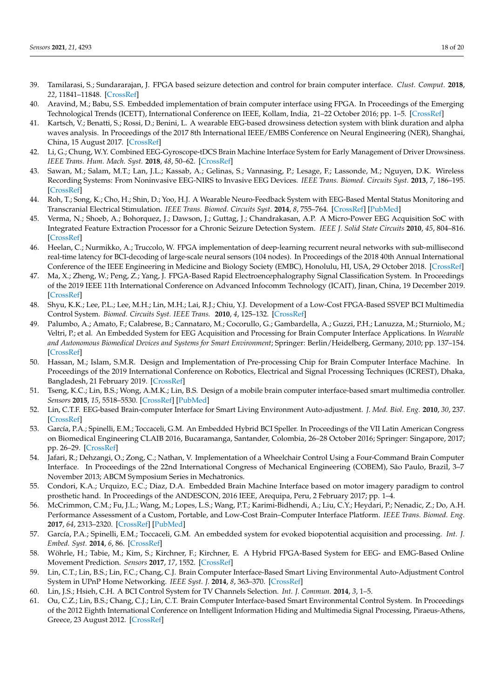- <span id="page-17-0"></span>39. Tamilarasi, S.; Sundararajan, J. FPGA based seizure detection and control for brain computer interface. *Clust. Comput.* **2018**, *22*, 11841–11848. [\[CrossRef\]](http://dx.doi.org/10.1007/s10586-017-1501-4)
- <span id="page-17-1"></span>40. Aravind, M.; Babu, S.S. Embedded implementation of brain computer interface using FPGA. In Proceedings of the Emerging Technological Trends (ICETT), International Conference on IEEE, Kollam, India, 21–22 October 2016; pp. 1–5. [\[CrossRef\]](http://dx.doi.org/10.1109/ICETT.2016.7873633)
- <span id="page-17-2"></span>41. Kartsch, V.; Benatti, S.; Rossi, D.; Benini, L. A wearable EEG-based drowsiness detection system with blink duration and alpha waves analysis. In Proceedings of the 2017 8th International IEEE/EMBS Conference on Neural Engineering (NER), Shanghai, China, 15 August 2017. [\[CrossRef\]](http://dx.doi.org/10.1109/ner.2017.8008338)
- <span id="page-17-3"></span>42. Li, G.; Chung, W.Y. Combined EEG-Gyroscope-tDCS Brain Machine Interface System for Early Management of Driver Drowsiness. *IEEE Trans. Hum. Mach. Syst.* **2018**, *48*, 50–62. [\[CrossRef\]](http://dx.doi.org/10.1109/THMS.2017.2759808)
- <span id="page-17-4"></span>43. Sawan, M.; Salam, M.T.; Lan, J.L.; Kassab, A.; Gelinas, S.; Vannasing, P.; Lesage, F.; Lassonde, M.; Nguyen, D.K. Wireless Recording Systems: From Noninvasive EEG-NIRS to Invasive EEG Devices. *IEEE Trans. Biomed. Circuits Syst.* **2013**, *7*, 186–195. [\[CrossRef\]](http://dx.doi.org/10.1109/TBCAS.2013.2255595)
- <span id="page-17-5"></span>44. Roh, T.; Song, K.; Cho, H.; Shin, D.; Yoo, H.J. A Wearable Neuro-Feedback System with EEG-Based Mental Status Monitoring and Transcranial Electrical Stimulation. *IEEE Trans. Biomed. Circuits Syst.* **2014**, *8*, 755–764. [\[CrossRef\]](http://dx.doi.org/10.1109/TBCAS.2014.2384017) [\[PubMed\]](http://www.ncbi.nlm.nih.gov/pubmed/25585425)
- <span id="page-17-6"></span>45. Verma, N.; Shoeb, A.; Bohorquez, J.; Dawson, J.; Guttag, J.; Chandrakasan, A.P. A Micro-Power EEG Acquisition SoC with Integrated Feature Extraction Processor for a Chronic Seizure Detection System. *IEEE J. Solid State Circuits* **2010**, *45*, 804–816. [\[CrossRef\]](http://dx.doi.org/10.1109/JSSC.2010.2042245)
- <span id="page-17-7"></span>46. Heelan, C.; Nurmikko, A.; Truccolo, W. FPGA implementation of deep-learning recurrent neural networks with sub-millisecond real-time latency for BCI-decoding of large-scale neural sensors (104 nodes). In Proceedings of the 2018 40th Annual International Conference of the IEEE Engineering in Medicine and Biology Society (EMBC), Honolulu, HI, USA, 29 October 2018. [\[CrossRef\]](http://dx.doi.org/10.1109/embc.2018.8512415)
- <span id="page-17-8"></span>47. Ma, X.; Zheng, W.; Peng, Z.; Yang, J. FPGA-Based Rapid Electroencephalography Signal Classification System. In Proceedings of the 2019 IEEE 11th International Conference on Advanced Infocomm Technology (ICAIT), Jinan, China, 19 December 2019. [\[CrossRef\]](http://dx.doi.org/10.1109/icait.2019.8935935)
- <span id="page-17-9"></span>48. Shyu, K.K.; Lee, P.L.; Lee, M.H.; Lin, M.H.; Lai, R.J.; Chiu, Y.J. Development of a Low-Cost FPGA-Based SSVEP BCI Multimedia Control System. *Biomed. Circuits Syst. IEEE Trans.* **2010**, *4*, 125–132. [\[CrossRef\]](http://dx.doi.org/10.1109/TBCAS.2010.2042595)
- <span id="page-17-10"></span>49. Palumbo, A.; Amato, F.; Calabrese, B.; Cannataro, M.; Cocorullo, G.; Gambardella, A.; Guzzi, P.H.; Lanuzza, M.; Sturniolo, M.; Veltri, P.; et al. An Embedded System for EEG Acquisition and Processing for Brain Computer Interface Applications. In *Wearable and Autonomous Biomedical Devices and Systems for Smart Environment*; Springer: Berlin/Heidelberg, Germany, 2010; pp. 137–154. [\[CrossRef\]](http://dx.doi.org/10.1007/978-3-642-15687-8_7)
- <span id="page-17-11"></span>50. Hassan, M.; Islam, S.M.R. Design and Implementation of Pre-processing Chip for Brain Computer Interface Machine. In Proceedings of the 2019 International Conference on Robotics, Electrical and Signal Processing Techniques (ICREST), Dhaka, Bangladesh, 21 February 2019. [\[CrossRef\]](http://dx.doi.org/10.1109/icrest.2019.8644230)
- <span id="page-17-12"></span>51. Tseng, K.C.; Lin, B.S.; Wong, A.M.K.; Lin, B.S. Design of a mobile brain computer interface-based smart multimedia controller. *Sensors* **2015**, *15*, 5518–5530. [\[CrossRef\]](http://dx.doi.org/10.3390/s150305518) [\[PubMed\]](http://www.ncbi.nlm.nih.gov/pubmed/25756862)
- <span id="page-17-13"></span>52. Lin, C.T.F. EEG-based Brain-computer Interface for Smart Living Environment Auto-adjustment. *J. Med. Biol. Eng.* **2010**, *30*, 237. [\[CrossRef\]](http://dx.doi.org/10.5405/jmbe.30.4.07)
- <span id="page-17-14"></span>53. García, P.A.; Spinelli, E.M.; Toccaceli, G.M. An Embedded Hybrid BCI Speller. In Proceedings of the VII Latin American Congress on Biomedical Engineering CLAIB 2016, Bucaramanga, Santander, Colombia, 26–28 October 2016; Springer: Singapore, 2017; pp. 26–29. [\[CrossRef\]](http://dx.doi.org/10.1007/978-981-10-4086-3_7)
- <span id="page-17-15"></span>54. Jafari, R.; Dehzangi, O.; Zong, C.; Nathan, V. Implementation of a Wheelchair Control Using a Four-Command Brain Computer Interface. In Proceedings of the 22nd International Congress of Mechanical Engineering (COBEM), São Paulo, Brazil, 3–7 November 2013; ABCM Symposium Series in Mechatronics.
- <span id="page-17-16"></span>55. Condori, K.A.; Urquizo, E.C.; Diaz, D.A. Embedded Brain Machine Interface based on motor imagery paradigm to control prosthetic hand. In Proceedings of the ANDESCON, 2016 IEEE, Arequipa, Peru, 2 February 2017; pp. 1–4.
- <span id="page-17-17"></span>56. McCrimmon, C.M.; Fu, J.L.; Wang, M.; Lopes, L.S.; Wang, P.T.; Karimi-Bidhendi, A.; Liu, C.Y.; Heydari, P.; Nenadic, Z.; Do, A.H. Performance Assessment of a Custom, Portable, and Low-Cost Brain–Computer Interface Platform. *IEEE Trans. Biomed. Eng.* **2017**, *64*, 2313–2320. [\[CrossRef\]](http://dx.doi.org/10.1109/TBME.2017.2667579) [\[PubMed\]](http://www.ncbi.nlm.nih.gov/pubmed/28207382)
- <span id="page-17-18"></span>57. García, P.A.; Spinelli, E.M.; Toccaceli, G.M. An embedded system for evoked biopotential acquisition and processing. *Int. J. Embed. Syst.* **2014**, *6*, 86. [\[CrossRef\]](http://dx.doi.org/10.1504/IJES.2014.060920)
- <span id="page-17-19"></span>58. Wöhrle, H.; Tabie, M.; Kim, S.; Kirchner, F.; Kirchner, E. A Hybrid FPGA-Based System for EEG- and EMG-Based Online Movement Prediction. *Sensors* **2017**, *17*, 1552. [\[CrossRef\]](http://dx.doi.org/10.3390/s17071552)
- <span id="page-17-20"></span>59. Lin, C.T.; Lin, B.S.; Lin, F.C.; Chang, C.J. Brain Computer Interface-Based Smart Living Environmental Auto-Adjustment Control System in UPnP Home Networking. *IEEE Syst. J.* **2014**, *8*, 363–370. [\[CrossRef\]](http://dx.doi.org/10.1109/JSYST.2012.2192756)
- <span id="page-17-21"></span>60. Lin, J.S.; Hsieh, C.H. A BCI Control System for TV Channels Selection. *Int. J. Commun.* **2014**, *3*, 1–5.
- <span id="page-17-22"></span>61. Ou, C.Z.; Lin, B.S.; Chang, C.J.; Lin, C.T. Brain Computer Interface-based Smart Environmental Control System. In Proceedings of the 2012 Eighth International Conference on Intelligent Information Hiding and Multimedia Signal Processing, Piraeus-Athens, Greece, 23 August 2012. [\[CrossRef\]](http://dx.doi.org/10.1109/iih-msp.2012.74)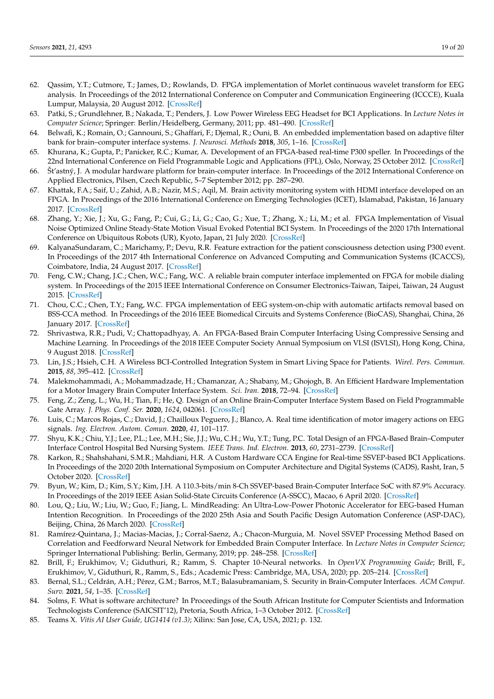- <span id="page-18-0"></span>62. Qassim, Y.T.; Cutmore, T.; James, D.; Rowlands, D. FPGA implementation of Morlet continuous wavelet transform for EEG analysis. In Proceedings of the 2012 International Conference on Computer and Communication Engineering (ICCCE), Kuala Lumpur, Malaysia, 20 August 2012. [\[CrossRef\]](http://dx.doi.org/10.1109/iccce.2012.6271152)
- <span id="page-18-1"></span>63. Patki, S.; Grundlehner, B.; Nakada, T.; Penders, J. Low Power Wireless EEG Headset for BCI Applications. In *Lecture Notes in Computer Science*; Springer: Berlin/Heidelberg, Germany, 2011; pp. 481–490. [\[CrossRef\]](http://dx.doi.org/10.1007/978-3-642-21605-3_53)
- <span id="page-18-2"></span>64. Belwafi, K.; Romain, O.; Gannouni, S.; Ghaffari, F.; Djemal, R.; Ouni, B. An embedded implementation based on adaptive filter bank for brain–computer interface systems. *J. Neurosci. Methods* **2018**, *305*, 1–16. [\[CrossRef\]](http://dx.doi.org/10.1016/j.jneumeth.2018.04.013)
- <span id="page-18-3"></span>65. Khurana, K.; Gupta, P.; Panicker, R.C.; Kumar, A. Development of an FPGA-based real-time P300 speller. In Proceedings of the 22nd International Conference on Field Programmable Logic and Applications (FPL), Oslo, Norway, 25 October 2012. [\[CrossRef\]](http://dx.doi.org/10.1109/fpl.2012.6339377)
- <span id="page-18-4"></span>66. Št'astný, J. A modular hardware platform for brain-computer interface. In Proceedings of the 2012 International Conference on Applied Electronics, Pilsen, Czech Republic, 5–7 September 2012; pp. 287–290.
- <span id="page-18-5"></span>67. Khattak, F.A.; Saif, U.; Zahid, A.B.; Nazir, M.S.; Aqil, M. Brain activity monitoring system with HDMI interface developed on an FPGA. In Proceedings of the 2016 International Conference on Emerging Technologies (ICET), Islamabad, Pakistan, 16 January 2017. [\[CrossRef\]](http://dx.doi.org/10.1109/icet.2016.7813272)
- <span id="page-18-6"></span>68. Zhang, Y.; Xie, J.; Xu, G.; Fang, P.; Cui, G.; Li, G.; Cao, G.; Xue, T.; Zhang, X.; Li, M.; et al. FPGA Implementation of Visual Noise Optimized Online Steady-State Motion Visual Evoked Potential BCI System. In Proceedings of the 2020 17th International Conference on Ubiquitous Robots (UR), Kyoto, Japan, 21 July 2020. [\[CrossRef\]](http://dx.doi.org/10.1109/ur49135.2020.9144933)
- <span id="page-18-7"></span>69. KalyanaSundaram, C.; Marichamy, P.; Devu, R.R. Feature extraction for the patient consciousness detection using P300 event. In Proceedings of the 2017 4th International Conference on Advanced Computing and Communication Systems (ICACCS), Coimbatore, India, 24 August 2017. [\[CrossRef\]](http://dx.doi.org/10.1109/icaccs.2017.8014566)
- <span id="page-18-8"></span>70. Feng, C.W.; Chang, J.C.; Chen, W.C.; Fang, W.C. A reliable brain computer interface implemented on FPGA for mobile dialing system. In Proceedings of the 2015 IEEE International Conference on Consumer Electronics-Taiwan, Taipei, Taiwan, 24 August 2015. [\[CrossRef\]](http://dx.doi.org/10.1109/icce-tw.2015.7216805)
- <span id="page-18-9"></span>71. Chou, C.C.; Chen, T.Y.; Fang, W.C. FPGA implementation of EEG system-on-chip with automatic artifacts removal based on BSS-CCA method. In Proceedings of the 2016 IEEE Biomedical Circuits and Systems Conference (BioCAS), Shanghai, China, 26 January 2017. [\[CrossRef\]](http://dx.doi.org/10.1109/biocas.2016.7833772)
- <span id="page-18-10"></span>72. Shrivastwa, R.R.; Pudi, V.; Chattopadhyay, A. An FPGA-Based Brain Computer Interfacing Using Compressive Sensing and Machine Learning. In Proceedings of the 2018 IEEE Computer Society Annual Symposium on VLSI (ISVLSI), Hong Kong, China, 9 August 2018. [\[CrossRef\]](http://dx.doi.org/10.1109/isvlsi.2018.00137)
- <span id="page-18-11"></span>73. Lin, J.S.; Hsieh, C.H. A Wireless BCI-Controlled Integration System in Smart Living Space for Patients. *Wirel. Pers. Commun.* **2015**, *88*, 395–412. [\[CrossRef\]](http://dx.doi.org/10.1007/s11277-015-3129-0)
- <span id="page-18-12"></span>74. Malekmohammadi, A.; Mohammadzade, H.; Chamanzar, A.; Shabany, M.; Ghojogh, B. An Efficient Hardware Implementation for a Motor Imagery Brain Computer Interface System. *Sci. Iran.* **2018**, 72–94. [\[CrossRef\]](http://dx.doi.org/10.24200/sci.2018.4978.1022)
- <span id="page-18-13"></span>75. Feng, Z.; Zeng, L.; Wu, H.; Tian, F.; He, Q. Design of an Online Brain-Computer Interface System Based on Field Programmable Gate Array. *J. Phys. Conf. Ser.* **2020**, *1624*, 042061. [\[CrossRef\]](http://dx.doi.org/10.1088/1742-6596/1624/4/042061)
- <span id="page-18-14"></span>76. Luis, C.; Marcos Rojas, C.; David, J.; Chailloux Peguero, J.; Blanco, A. Real time identification of motor imagery actions on EEG signals. *Ing. Electron. Autom. Comun.* **2020**, *41*, 101–117.
- <span id="page-18-15"></span>77. Shyu, K.K.; Chiu, Y.J.; Lee, P.L.; Lee, M.H.; Sie, J.J.; Wu, C.H.; Wu, Y.T.; Tung, P.C. Total Design of an FPGA-Based Brain–Computer Interface Control Hospital Bed Nursing System. *IEEE Trans. Ind. Electron.* **2013**, *60*, 2731–2739. [\[CrossRef\]](http://dx.doi.org/10.1109/TIE.2012.2196897)
- <span id="page-18-16"></span>78. Karkon, R.; Shahshahani, S.M.R.; Mahdiani, H.R. A Custom Hardware CCA Engine for Real-time SSVEP-based BCI Applications. In Proceedings of the 2020 20th International Symposium on Computer Architecture and Digital Systems (CADS), Rasht, Iran, 5 October 2020. [\[CrossRef\]](http://dx.doi.org/10.1109/cads50570.2020.9211863)
- <span id="page-18-17"></span>79. Byun, W.; Kim, D.; Kim, S.Y.; Kim, J.H. A 110.3-bits/min 8-Ch SSVEP-based Brain-Computer Interface SoC with 87.9% Accuracy. In Proceedings of the 2019 IEEE Asian Solid-State Circuits Conference (A-SSCC), Macao, 6 April 2020. [\[CrossRef\]](http://dx.doi.org/10.1109/a-sscc47793.2019.9056983)
- <span id="page-18-18"></span>80. Lou, Q.; Liu, W.; Liu, W.; Guo, F.; Jiang, L. MindReading: An Ultra-Low-Power Photonic Accelerator for EEG-based Human Intention Recognition. In Proceedings of the 2020 25th Asia and South Pacific Design Automation Conference (ASP-DAC), Beijing, China, 26 March 2020. [\[CrossRef\]](http://dx.doi.org/10.1109/asp-dac47756.2020.9045333)
- <span id="page-18-19"></span>81. Ramírez-Quintana, J.; Macias-Macias, J.; Corral-Saenz, A.; Chacon-Murguia, M. Novel SSVEP Processing Method Based on Correlation and Feedforward Neural Network for Embedded Brain Computer Interface. In *Lecture Notes in Computer Science*; Springer International Publishing: Berlin, Germany, 2019; pp. 248–258. [\[CrossRef\]](http://dx.doi.org/10.1007/978-3-030-21077-9_23)
- <span id="page-18-20"></span>82. Brill, F.; Erukhimov, V.; Giduthuri, R.; Ramm, S. Chapter 10-Neural networks. In *OpenVX Programming Guide*; Brill, F., Erukhimov, V., Giduthuri, R., Ramm, S., Eds.; Academic Press: Cambridge, MA, USA, 2020; pp. 205–214. [\[CrossRef\]](http://dx.doi.org/10.1016/B978-0-12-816425-9.00016-4)
- <span id="page-18-21"></span>83. Bernal, S.L.; Celdrán, A.H.; Pérez, G.M.; Barros, M.T.; Balasubramaniam, S. Security in Brain-Computer Interfaces. *ACM Comput. Surv.* **2021**, *54*, 1–35. [\[CrossRef\]](http://dx.doi.org/10.1145/3427376)
- <span id="page-18-22"></span>84. Solms, F. What is software architecture? In Proceedings of the South African Institute for Computer Scientists and Information Technologists Conference (SAICSIT'12), Pretoria, South Africa, 1–3 October 2012. [\[CrossRef\]](http://dx.doi.org/10.1145/2389836.2389879)
- <span id="page-18-23"></span>85. Teams X. *Vitis AI User Guide, UG1414 (v1.3)*; Xilinx: San Jose, CA, USA, 2021; p. 132.